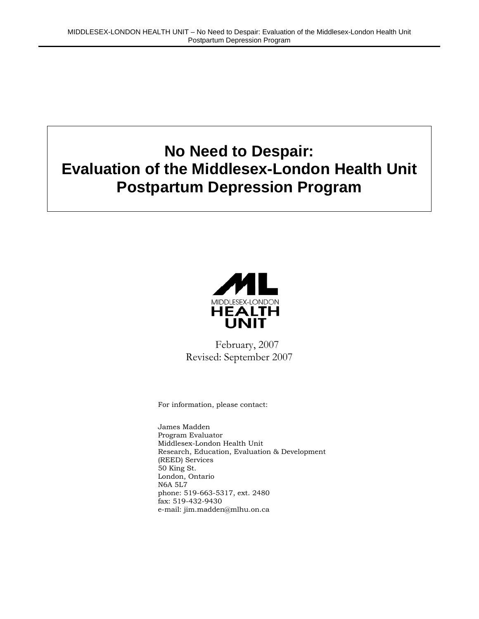# **No Need to Despair: Evaluation of the Middlesex-London Health Unit Postpartum Depression Program**



February, 2007 Revised: September 2007

For information, please contact:

James Madden Program Evaluator Middlesex-London Health Unit Research, Education, Evaluation & Development (REED) Services 50 King St. London, Ontario N6A 5L7 phone: 519-663-5317, ext. 2480 fax: 519-432-9430 e-mail: jim.madden@mlhu.on.ca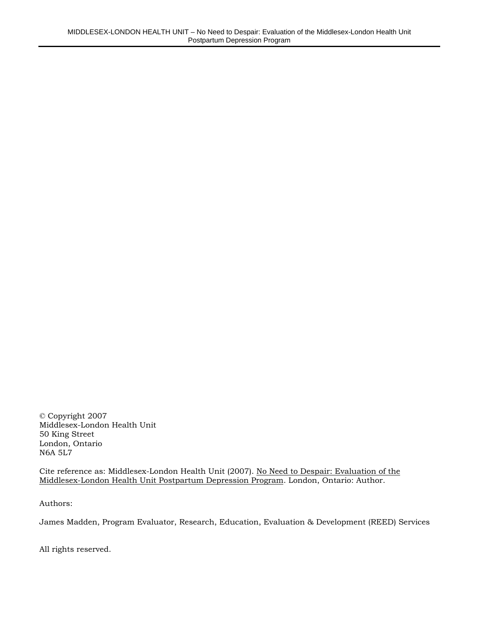© Copyright 2007 Middlesex-London Health Unit 50 King Street London, Ontario N6A 5L7

Cite reference as: Middlesex-London Health Unit (2007). No Need to Despair: Evaluation of the Middlesex-London Health Unit Postpartum Depression Program. London, Ontario: Author.

Authors:

James Madden, Program Evaluator, Research, Education, Evaluation & Development (REED) Services

All rights reserved.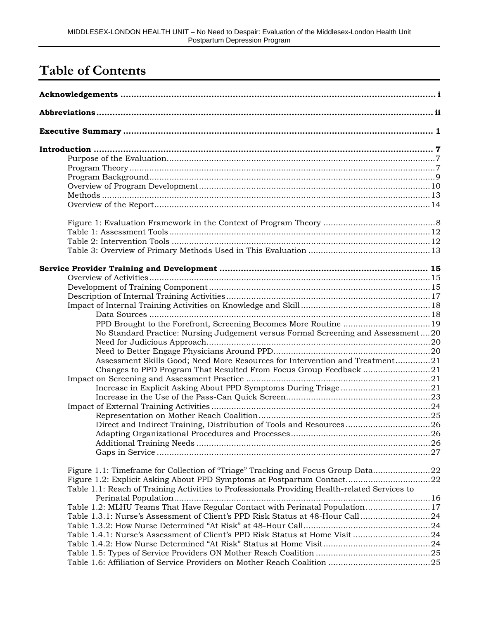# **Table of Contents**

| No Standard Practice: Nursing Judgement versus Formal Screening and Assessment20              |  |
|-----------------------------------------------------------------------------------------------|--|
|                                                                                               |  |
| Assessment Skills Good; Need More Resources for Intervention and Treatment21                  |  |
|                                                                                               |  |
|                                                                                               |  |
|                                                                                               |  |
|                                                                                               |  |
|                                                                                               |  |
|                                                                                               |  |
| Direct and Indirect Training, Distribution of Tools and Resources26                           |  |
|                                                                                               |  |
|                                                                                               |  |
|                                                                                               |  |
| Figure 1.1: Timeframe for Collection of "Triage" Tracking and Focus Group Data22              |  |
|                                                                                               |  |
| Table 1.1: Reach of Training Activities to Professionals Providing Health-related Services to |  |
| Table 1.2: MLHU Teams That Have Regular Contact with Perinatal Population17                   |  |
| Table 1.3.1: Nurse's Assessment of Client's PPD Risk Status at 48-Hour Call 24                |  |
|                                                                                               |  |
| Table 1.4.1: Nurse's Assessment of Client's PPD Risk Status at Home Visit 24                  |  |
|                                                                                               |  |
|                                                                                               |  |
|                                                                                               |  |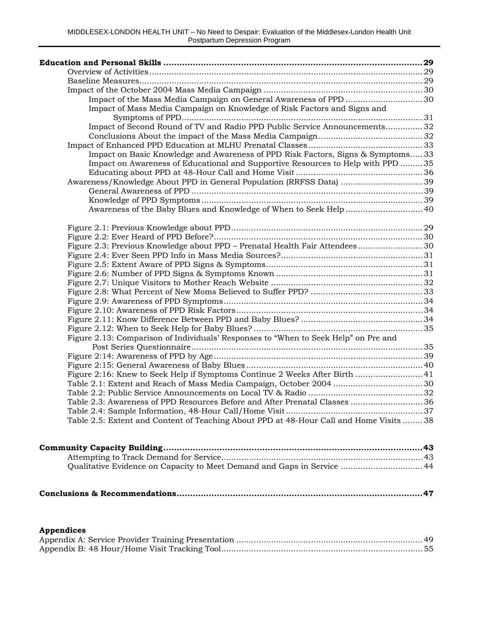| Impact of the Mass Media Campaign on General Awareness of PPD 30                       |  |
|----------------------------------------------------------------------------------------|--|
| Impact of Mass Media Campaign on Knowledge of Risk Factors and Signs and               |  |
|                                                                                        |  |
| Impact of Second Round of TV and Radio PPD Public Service Announcements32              |  |
|                                                                                        |  |
|                                                                                        |  |
| Impact on Basic Knowledge and Awareness of PPD Risk Factors, Signs & Symptoms33        |  |
| Impact on Awareness of Educational and Supportive Resources to Help with PPD 35        |  |
|                                                                                        |  |
| Awareness/Knowledge About PPD in General Population (RRFSS Data) 39                    |  |
|                                                                                        |  |
|                                                                                        |  |
| Awareness of the Baby Blues and Knowledge of When to Seek Help  40                     |  |
|                                                                                        |  |
|                                                                                        |  |
| Figure 2.3: Previous Knowledge about PPD - Prenatal Health Fair Attendees 30           |  |
|                                                                                        |  |
|                                                                                        |  |
|                                                                                        |  |
|                                                                                        |  |
|                                                                                        |  |
|                                                                                        |  |
|                                                                                        |  |
|                                                                                        |  |
|                                                                                        |  |
| Figure 2.13: Comparison of Individuals' Responses to "When to Seek Help" on Pre and    |  |
|                                                                                        |  |
|                                                                                        |  |
|                                                                                        |  |
| Figure 2:16: Knew to Seek Help if Symptoms Continue 2 Weeks After Birth  41            |  |
|                                                                                        |  |
|                                                                                        |  |
| Table 2.3: Awareness of PPD Resources Before and After Prenatal Classes  36            |  |
|                                                                                        |  |
| Table 2.5: Extent and Content of Teaching About PPD at 48-Hour Call and Home Visits 38 |  |

|--|

#### **Appendices**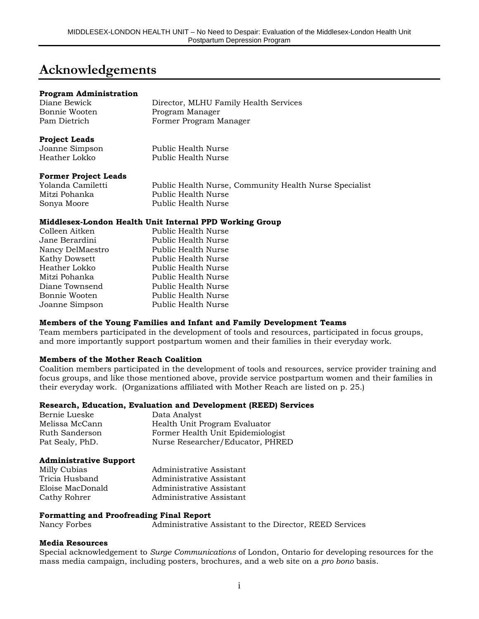## **Acknowledgements**

#### **Program Administration**

| Diane Bewick  | Director, MLHU Family Health Services |
|---------------|---------------------------------------|
| Bonnie Wooten | Program Manager                       |
| Pam Dietrich  | Former Program Manager                |

#### **Project Leads**

| Joanne Simpson | Public Health Nurse |
|----------------|---------------------|
| Heather Lokko  | Public Health Nurse |

#### **Former Project Leads**

| Yolanda Camiletti | Public Health Nurse, Community Health Nurse Specialist |
|-------------------|--------------------------------------------------------|
| Mitzi Pohanka     | Public Health Nurse                                    |
| Sonya Moore       | Public Health Nurse                                    |

#### **Middlesex-London Health Unit Internal PPD Working Group**

| Public Health Nurse |
|---------------------|
| Public Health Nurse |
| Public Health Nurse |
| Public Health Nurse |
| Public Health Nurse |
| Public Health Nurse |
| Public Health Nurse |
| Public Health Nurse |
| Public Health Nurse |
|                     |

#### **Members of the Young Families and Infant and Family Development Teams**

Team members participated in the development of tools and resources, participated in focus groups, and more importantly support postpartum women and their families in their everyday work.

#### **Members of the Mother Reach Coalition**

Coalition members participated in the development of tools and resources, service provider training and focus groups, and like those mentioned above, provide service postpartum women and their families in their everyday work. (Organizations affiliated with Mother Reach are listed on p. 25.)

#### **Research, Education, Evaluation and Development (REED) Services**

| Bernie Lueske   | Data Analyst                      |
|-----------------|-----------------------------------|
| Melissa McCann  | Health Unit Program Evaluator     |
| Ruth Sanderson  | Former Health Unit Epidemiologist |
| Pat Sealy, PhD. | Nurse Researcher/Educator, PHRED  |

#### **Administrative Support**

| Administrative Assistant |
|--------------------------|
| Administrative Assistant |
| Administrative Assistant |
| Administrative Assistant |
|                          |

#### **Formatting and Proofreading Final Report**

Nancy Forbes Administrative Assistant to the Director, REED Services

#### **Media Resources**

Special acknowledgement to *Surge Communications* of London, Ontario for developing resources for the mass media campaign, including posters, brochures, and a web site on a *pro bono* basis.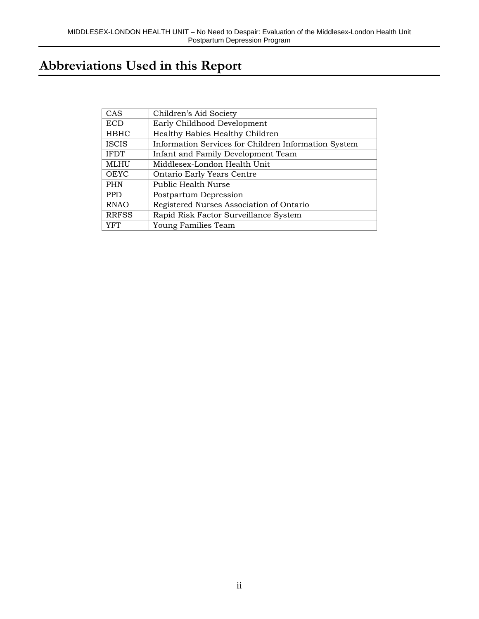# **Abbreviations Used in this Report**

| CAS          | Children's Aid Society                               |
|--------------|------------------------------------------------------|
| <b>ECD</b>   | Early Childhood Development                          |
| <b>HBHC</b>  | Healthy Babies Healthy Children                      |
| <b>ISCIS</b> | Information Services for Children Information System |
| <b>IFDT</b>  | Infant and Family Development Team                   |
| MLHU         | Middlesex-London Health Unit                         |
| <b>OEYC</b>  | Ontario Early Years Centre                           |
| <b>PHN</b>   | Public Health Nurse                                  |
| <b>PPD</b>   | Postpartum Depression                                |
| <b>RNAO</b>  | Registered Nurses Association of Ontario             |
| <b>RRFSS</b> | Rapid Risk Factor Surveillance System                |
| YFT          | Young Families Team                                  |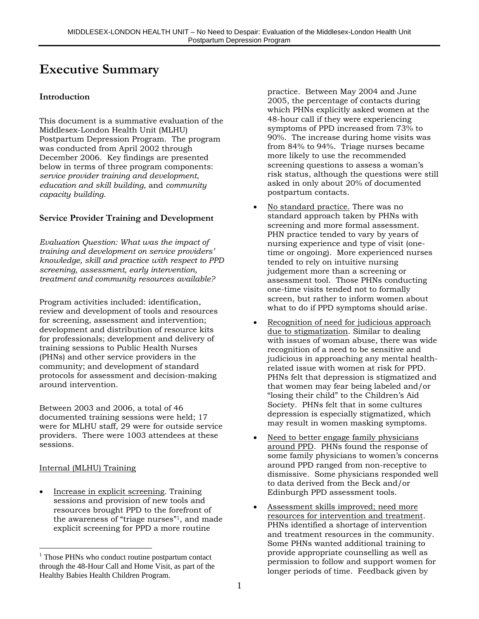## **Executive Summary**

#### **Introduction**

This document is a summative evaluation of the Middlesex-London Health Unit (MLHU) Postpartum Depression Program. The program was conducted from April 2002 through December 2006. Key findings are presented below in terms of three program components: *service provider training and development*, *education and skill building*, and *community capacity building*.

#### **Service Provider Training and Development**

*Evaluation Question: What was the impact of training and development on service providers' knowledge, skill and practice with respect to PPD screening, assessment, early intervention, treatment and community resources available?*

Program activities included: identification, review and development of tools and resources for screening, assessment and intervention; development and distribution of resource kits for professionals; development and delivery of training sessions to Public Health Nurses (PHNs) and other service providers in the community; and development of standard protocols for assessment and decision-making around intervention.

Between 2003 and 2006, a total of 46 documented training sessions were held; 17 were for MLHU staff, 29 were for outside service providers. There were 1003 attendees at these sessions.

#### Internal (MLHU) Training

 $\overline{a}$ 

• Increase in explicit screening. Training sessions and provision of new tools and resources brought PPD to the forefront of the awareness of "triage nurses"1, and made explicit screening for PPD a more routine

practice. Between May 2004 and June 2005, the percentage of contacts during which PHNs explicitly asked women at the 48-hour call if they were experiencing symptoms of PPD increased from 73% to 90%. The increase during home visits was from 84% to 94%. Triage nurses became more likely to use the recommended screening questions to assess a woman's risk status, although the questions were still asked in only about 20% of documented postpartum contacts.

- No standard practice. There was no standard approach taken by PHNs with screening and more formal assessment. PHN practice tended to vary by years of nursing experience and type of visit (onetime or ongoing). More experienced nurses tended to rely on intuitive nursing judgement more than a screening or assessment tool. Those PHNs conducting one-time visits tended not to formally screen, but rather to inform women about what to do if PPD symptoms should arise.
- Recognition of need for judicious approach due to stigmatization. Similar to dealing with issues of woman abuse, there was wide recognition of a need to be sensitive and judicious in approaching any mental healthrelated issue with women at risk for PPD. PHNs felt that depression is stigmatized and that women may fear being labeled and/or "losing their child" to the Children's Aid Society. PHNs felt that in some cultures depression is especially stigmatized, which may result in women masking symptoms.
- Need to better engage family physicians around PPD. PHNs found the response of some family physicians to women's concerns around PPD ranged from non-receptive to dismissive. Some physicians responded well to data derived from the Beck and/or Edinburgh PPD assessment tools.
- Assessment skills improved; need more resources for intervention and treatment. PHNs identified a shortage of intervention and treatment resources in the community. Some PHNs wanted additional training to provide appropriate counselling as well as permission to follow and support women for longer periods of time. Feedback given by

<sup>&</sup>lt;sup>1</sup> Those PHNs who conduct routine postpartum contact through the 48-Hour Call and Home Visit, as part of the Healthy Babies Health Children Program.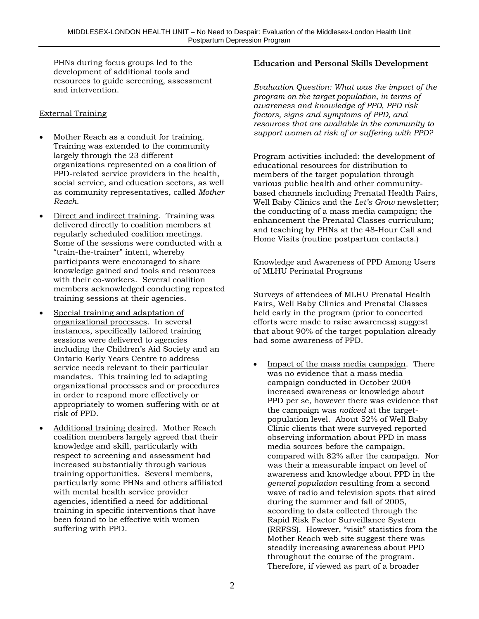PHNs during focus groups led to the development of additional tools and resources to guide screening, assessment and intervention.

#### External Training

- Mother Reach as a conduit for training. Training was extended to the community largely through the 23 different organizations represented on a coalition of PPD-related service providers in the health, social service, and education sectors, as well as community representatives, called *Mother Reach*.
- Direct and indirect training. Training was delivered directly to coalition members at regularly scheduled coalition meetings. Some of the sessions were conducted with a "train-the-trainer" intent, whereby participants were encouraged to share knowledge gained and tools and resources with their co-workers. Several coalition members acknowledged conducting repeated training sessions at their agencies.
- Special training and adaptation of organizational processes. In several instances, specifically tailored training sessions were delivered to agencies including the Children's Aid Society and an Ontario Early Years Centre to address service needs relevant to their particular mandates. This training led to adapting organizational processes and or procedures in order to respond more effectively or appropriately to women suffering with or at risk of PPD.
- Additional training desired. Mother Reach coalition members largely agreed that their knowledge and skill, particularly with respect to screening and assessment had increased substantially through various training opportunities. Several members, particularly some PHNs and others affiliated with mental health service provider agencies, identified a need for additional training in specific interventions that have been found to be effective with women suffering with PPD.

#### **Education and Personal Skills Development**

*Evaluation Question: What was the impact of the program on the target population, in terms of awareness and knowledge of PPD, PPD risk factors, signs and symptoms of PPD, and resources that are available in the community to support women at risk of or suffering with PPD?*

Program activities included: the development of educational resources for distribution to members of the target population through various public health and other communitybased channels including Prenatal Health Fairs, Well Baby Clinics and the *Let's Grow* newsletter; the conducting of a mass media campaign; the enhancement the Prenatal Classes curriculum; and teaching by PHNs at the 48-Hour Call and Home Visits (routine postpartum contacts.)

#### Knowledge and Awareness of PPD Among Users of MLHU Perinatal Programs

Surveys of attendees of MLHU Prenatal Health Fairs, Well Baby Clinics and Prenatal Classes held early in the program (prior to concerted efforts were made to raise awareness) suggest that about 90% of the target population already had some awareness of PPD.

• Impact of the mass media campaign. There was no evidence that a mass media campaign conducted in October 2004 increased awareness or knowledge about PPD per se, however there was evidence that the campaign was *noticed* at the targetpopulation level. About 52% of Well Baby Clinic clients that were surveyed reported observing information about PPD in mass media sources before the campaign, compared with 82% after the campaign. Nor was their a measurable impact on level of awareness and knowledge about PPD in the *general population* resulting from a second wave of radio and television spots that aired during the summer and fall of 2005, according to data collected through the Rapid Risk Factor Surveillance System (RRFSS). However, "visit" statistics from the Mother Reach web site suggest there was steadily increasing awareness about PPD throughout the course of the program. Therefore, if viewed as part of a broader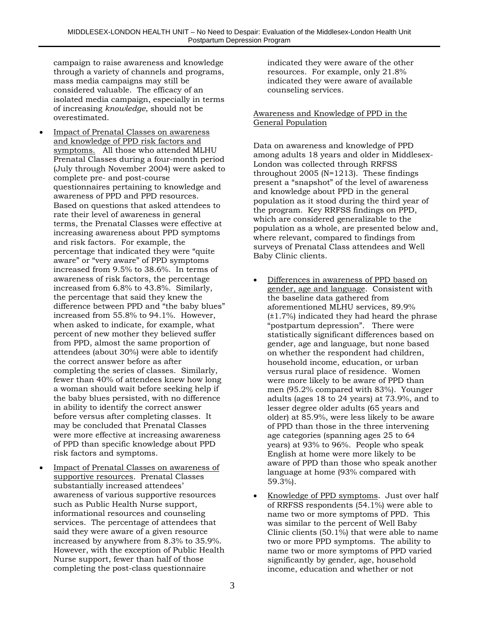campaign to raise awareness and knowledge through a variety of channels and programs, mass media campaigns may still be considered valuable. The efficacy of an isolated media campaign, especially in terms of increasing *knowledge*, should not be overestimated.

- Impact of Prenatal Classes on awareness and knowledge of PPD risk factors and symptoms. All those who attended MLHU Prenatal Classes during a four-month period (July through November 2004) were asked to complete pre- and post-course questionnaires pertaining to knowledge and awareness of PPD and PPD resources. Based on questions that asked attendees to rate their level of awareness in general terms, the Prenatal Classes were effective at increasing awareness about PPD symptoms and risk factors. For example, the percentage that indicated they were "quite aware" or "very aware" of PPD symptoms increased from 9.5% to 38.6%. In terms of awareness of risk factors, the percentage increased from 6.8% to 43.8%. Similarly, the percentage that said they knew the difference between PPD and "the baby blues" increased from 55.8% to 94.1%. However, when asked to indicate, for example, what percent of new mother they believed suffer from PPD, almost the same proportion of attendees (about 30%) were able to identify the correct answer before as after completing the series of classes. Similarly, fewer than 40% of attendees knew how long a woman should wait before seeking help if the baby blues persisted, with no difference in ability to identify the correct answer before versus after completing classes. It may be concluded that Prenatal Classes were more effective at increasing awareness of PPD than specific knowledge about PPD risk factors and symptoms.
- Impact of Prenatal Classes on awareness of supportive resources. Prenatal Classes substantially increased attendees' awareness of various supportive resources such as Public Health Nurse support, informational resources and counseling services. The percentage of attendees that said they were aware of a given resource increased by anywhere from 8.3% to 35.9%. However, with the exception of Public Health Nurse support, fewer than half of those completing the post-class questionnaire

indicated they were aware of the other resources. For example, only 21.8% indicated they were aware of available counseling services.

#### Awareness and Knowledge of PPD in the General Population

Data on awareness and knowledge of PPD among adults 18 years and older in Middlesex-London was collected through RRFSS throughout 2005 (N=1213). These findings present a "snapshot" of the level of awareness and knowledge about PPD in the general population as it stood during the third year of the program. Key RRFSS findings on PPD, which are considered generalizable to the population as a whole, are presented below and, where relevant, compared to findings from surveys of Prenatal Class attendees and Well Baby Clinic clients.

- Differences in awareness of PPD based on gender, age and language. Consistent with the baseline data gathered from aforementioned MLHU services, 89.9% (±1.7%) indicated they had heard the phrase "postpartum depression". There were statistically significant differences based on gender, age and language, but none based on whether the respondent had children, household income, education, or urban versus rural place of residence. Women were more likely to be aware of PPD than men (95.2% compared with 83%). Younger adults (ages 18 to 24 years) at 73.9%, and to lesser degree older adults (65 years and older) at 85.9%, were less likely to be aware of PPD than those in the three intervening age categories (spanning ages 25 to 64 years) at 93% to 96%. People who speak English at home were more likely to be aware of PPD than those who speak another language at home (93% compared with 59.3%).
- Knowledge of PPD symptoms. Just over half of RRFSS respondents (54.1%) were able to name two or more symptoms of PPD. This was similar to the percent of Well Baby Clinic clients (50.1%) that were able to name two or more PPD symptoms. The ability to name two or more symptoms of PPD varied significantly by gender, age, household income, education and whether or not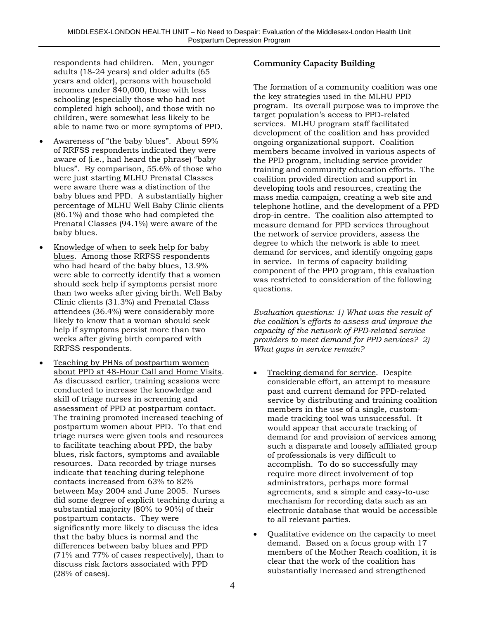respondents had children. Men, younger adults (18-24 years) and older adults (65 years and older), persons with household incomes under \$40,000, those with less schooling (especially those who had not completed high school), and those with no children, were somewhat less likely to be able to name two or more symptoms of PPD.

- Awareness of "the baby blues". About 59% of RRFSS respondents indicated they were aware of (i.e., had heard the phrase) "baby blues". By comparison, 55.6% of those who were just starting MLHU Prenatal Classes were aware there was a distinction of the baby blues and PPD. A substantially higher percentage of MLHU Well Baby Clinic clients (86.1%) and those who had completed the Prenatal Classes (94.1%) were aware of the baby blues.
- Knowledge of when to seek help for baby blues. Among those RRFSS respondents who had heard of the baby blues, 13.9% were able to correctly identify that a women should seek help if symptoms persist more than two weeks after giving birth. Well Baby Clinic clients (31.3%) and Prenatal Class attendees (36.4%) were considerably more likely to know that a woman should seek help if symptoms persist more than two weeks after giving birth compared with RRFSS respondents.
- Teaching by PHNs of postpartum women about PPD at 48-Hour Call and Home Visits. As discussed earlier, training sessions were conducted to increase the knowledge and skill of triage nurses in screening and assessment of PPD at postpartum contact. The training promoted increased teaching of postpartum women about PPD. To that end triage nurses were given tools and resources to facilitate teaching about PPD, the baby blues, risk factors, symptoms and available resources. Data recorded by triage nurses indicate that teaching during telephone contacts increased from 63% to 82% between May 2004 and June 2005. Nurses did some degree of explicit teaching during a substantial majority (80% to 90%) of their postpartum contacts. They were significantly more likely to discuss the idea that the baby blues is normal and the differences between baby blues and PPD (71% and 77% of cases respectively), than to discuss risk factors associated with PPD (28% of cases).

## **Community Capacity Building**

The formation of a community coalition was one the key strategies used in the MLHU PPD program. Its overall purpose was to improve the target population's access to PPD-related services. MLHU program staff facilitated development of the coalition and has provided ongoing organizational support. Coalition members became involved in various aspects of the PPD program, including service provider training and community education efforts. The coalition provided direction and support in developing tools and resources, creating the mass media campaign, creating a web site and telephone hotline, and the development of a PPD drop-in centre. The coalition also attempted to measure demand for PPD services throughout the network of service providers, assess the degree to which the network is able to meet demand for services, and identify ongoing gaps in service. In terms of capacity building component of the PPD program, this evaluation was restricted to consideration of the following questions.

*Evaluation questions: 1) What was the result of the coalition's efforts to assess and improve the capacity of the network of PPD-related service providers to meet demand for PPD services? 2) What gaps in service remain?*

- Tracking demand for service. Despite considerable effort, an attempt to measure past and current demand for PPD-related service by distributing and training coalition members in the use of a single, custommade tracking tool was unsuccessful. It would appear that accurate tracking of demand for and provision of services among such a disparate and loosely affiliated group of professionals is very difficult to accomplish. To do so successfully may require more direct involvement of top administrators, perhaps more formal agreements, and a simple and easy-to-use mechanism for recording data such as an electronic database that would be accessible to all relevant parties.
- Qualitative evidence on the capacity to meet demand. Based on a focus group with 17 members of the Mother Reach coalition, it is clear that the work of the coalition has substantially increased and strengthened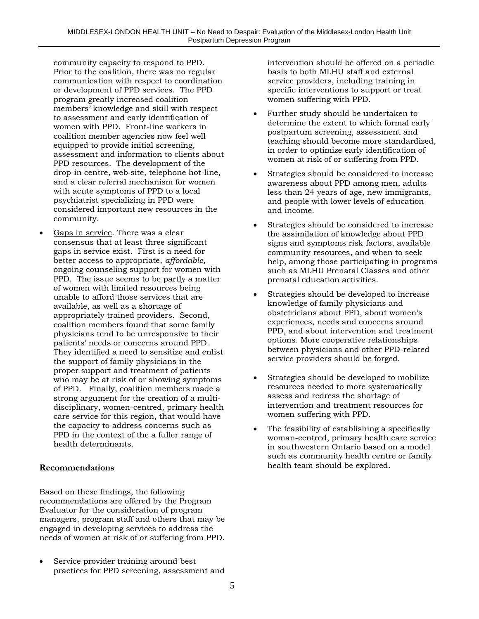community capacity to respond to PPD. Prior to the coalition, there was no regular communication with respect to coordination or development of PPD services. The PPD program greatly increased coalition members' knowledge and skill with respect to assessment and early identification of women with PPD. Front-line workers in coalition member agencies now feel well equipped to provide initial screening, assessment and information to clients about PPD resources. The development of the drop-in centre, web site, telephone hot-line, and a clear referral mechanism for women with acute symptoms of PPD to a local psychiatrist specializing in PPD were considered important new resources in the community.

Gaps in service. There was a clear consensus that at least three significant gaps in service exist. First is a need for better access to appropriate, *affordable,* ongoing counseling support for women with PPD. The issue seems to be partly a matter of women with limited resources being unable to afford those services that are available, as well as a shortage of appropriately trained providers. Second, coalition members found that some family physicians tend to be unresponsive to their patients' needs or concerns around PPD. They identified a need to sensitize and enlist the support of family physicians in the proper support and treatment of patients who may be at risk of or showing symptoms of PPD. Finally, coalition members made a strong argument for the creation of a multidisciplinary, women-centred, primary health care service for this region, that would have the capacity to address concerns such as PPD in the context of the a fuller range of health determinants.

#### **Recommendations**

Based on these findings, the following recommendations are offered by the Program Evaluator for the consideration of program managers, program staff and others that may be engaged in developing services to address the needs of women at risk of or suffering from PPD.

Service provider training around best practices for PPD screening, assessment and intervention should be offered on a periodic basis to both MLHU staff and external service providers, including training in specific interventions to support or treat women suffering with PPD.

- Further study should be undertaken to determine the extent to which formal early postpartum screening, assessment and teaching should become more standardized, in order to optimize early identification of women at risk of or suffering from PPD.
- Strategies should be considered to increase awareness about PPD among men, adults less than 24 years of age, new immigrants, and people with lower levels of education and income.
- Strategies should be considered to increase the assimilation of knowledge about PPD signs and symptoms risk factors, available community resources, and when to seek help, among those participating in programs such as MLHU Prenatal Classes and other prenatal education activities.
- Strategies should be developed to increase knowledge of family physicians and obstetricians about PPD, about women's experiences, needs and concerns around PPD, and about intervention and treatment options. More cooperative relationships between physicians and other PPD-related service providers should be forged.
- Strategies should be developed to mobilize resources needed to more systematically assess and redress the shortage of intervention and treatment resources for women suffering with PPD.
- The feasibility of establishing a specifically woman-centred, primary health care service in southwestern Ontario based on a model such as community health centre or family health team should be explored.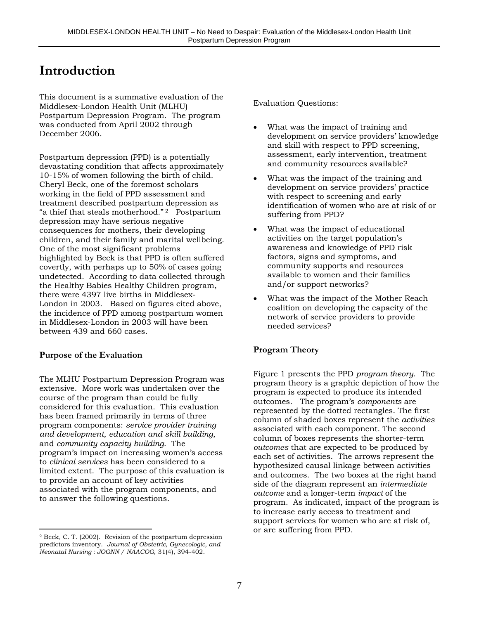## **Introduction**

This document is a summative evaluation of the Middlesex-London Health Unit (MLHU) Postpartum Depression Program. The program was conducted from April 2002 through December 2006.

Postpartum depression (PPD) is a potentially devastating condition that affects approximately 10-15% of women following the birth of child. Cheryl Beck, one of the foremost scholars working in the field of PPD assessment and treatment described postpartum depression as "a thief that steals motherhood." 2 Postpartum depression may have serious negative consequences for mothers, their developing children, and their family and marital wellbeing. One of the most significant problems highlighted by Beck is that PPD is often suffered covertly, with perhaps up to 50% of cases going undetected. According to data collected through the Healthy Babies Healthy Children program, there were 4397 live births in Middlesex-London in 2003. Based on figures cited above, the incidence of PPD among postpartum women in Middlesex-London in 2003 will have been between 439 and 660 cases.

#### **Purpose of the Evaluation**

 $\overline{a}$ 

The MLHU Postpartum Depression Program was extensive. More work was undertaken over the course of the program than could be fully considered for this evaluation. This evaluation has been framed primarily in terms of three program components: *service provider training and development*, *education and skill building*, and *community capacity building*. The program's impact on increasing women's access to *clinical services* has been considered to a limited extent. The purpose of this evaluation is to provide an account of key activities associated with the program components, and to answer the following questions.

#### Evaluation Questions:

- What was the impact of training and development on service providers' knowledge and skill with respect to PPD screening, assessment, early intervention, treatment and community resources available?
- What was the impact of the training and development on service providers' practice with respect to screening and early identification of women who are at risk of or suffering from PPD?
- What was the impact of educational activities on the target population's awareness and knowledge of PPD risk factors, signs and symptoms, and community supports and resources available to women and their families and/or support networks?
- What was the impact of the Mother Reach coalition on developing the capacity of the network of service providers to provide needed services?

### **Program Theory**

Figure 1 presents the PPD *program theory*. The program theory is a graphic depiction of how the program is expected to produce its intended outcomes. The program's *components* are represented by the dotted rectangles. The first column of shaded boxes represent the *activities* associated with each component. The second column of boxes represents the shorter-term *outcomes* that are expected to be produced by each set of activities. The arrows represent the hypothesized causal linkage between activities and outcomes. The two boxes at the right hand side of the diagram represent an *intermediate outcome* and a longer-term *impact* of the program. As indicated, impact of the program is to increase early access to treatment and support services for women who are at risk of, or are suffering from PPD.

<sup>2</sup> Beck, C. T. (2002). Revision of the postpartum depression predictors inventory. *Journal of Obstetric, Gynecologic, and Neonatal Nursing : JOGNN / NAACOG*, 31(4), 394-402.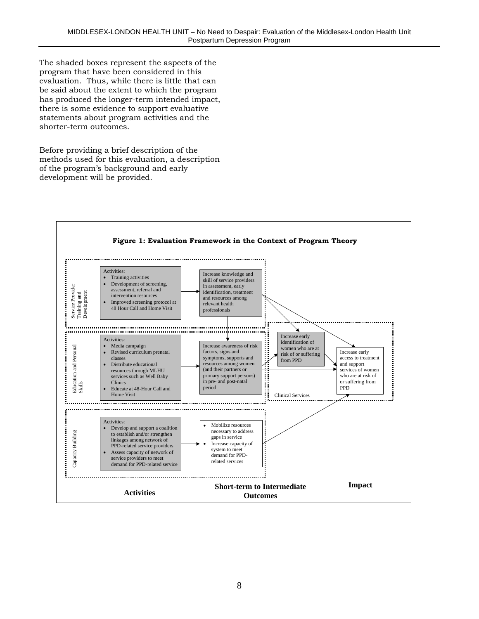The shaded boxes represent the aspects of the program that have been considered in this evaluation. Thus, while there is little that can be said about the extent to which the program has produced the longer-term intended impact, there is some evidence to support evaluative statements about program activities and the shorter-term outcomes.

Before providing a brief description of the methods used for this evaluation, a description of the program's background and early development will be provided.

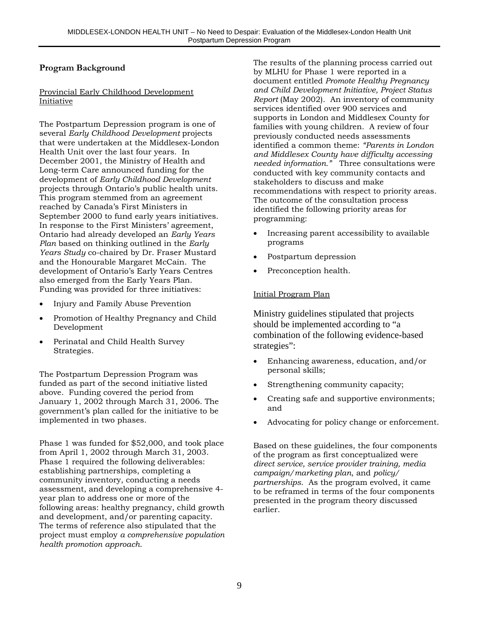#### **Program Background**

#### Provincial Early Childhood Development Initiative

The Postpartum Depression program is one of several *Early Childhood Development* projects that were undertaken at the Middlesex-London Health Unit over the last four years. In December 2001, the Ministry of Health and Long-term Care announced funding for the development of *Early Childhood Development* projects through Ontario's public health units. This program stemmed from an agreement reached by Canada's First Ministers in September 2000 to fund early years initiatives. In response to the First Ministers' agreement, Ontario had already developed an *Early Years Plan* based on thinking outlined in the *Early Years Study* co-chaired by Dr. Fraser Mustard and the Honourable Margaret McCain. The development of Ontario's Early Years Centres also emerged from the Early Years Plan. Funding was provided for three initiatives:

- Injury and Family Abuse Prevention
- Promotion of Healthy Pregnancy and Child Development
- Perinatal and Child Health Survey Strategies.

The Postpartum Depression Program was funded as part of the second initiative listed above. Funding covered the period from January 1, 2002 through March 31, 2006. The government's plan called for the initiative to be implemented in two phases.

Phase 1 was funded for \$52,000, and took place from April 1, 2002 through March 31, 2003. Phase 1 required the following deliverables: establishing partnerships, completing a community inventory, conducting a needs assessment, and developing a comprehensive 4 year plan to address one or more of the following areas: healthy pregnancy, child growth and development, and/or parenting capacity. The terms of reference also stipulated that the project must employ *a comprehensive population health promotion approach*.

The results of the planning process carried out by MLHU for Phase 1 were reported in a document entitled *Promote Healthy Pregnancy and Child Development Initiative, Project Status Report* (May 2002). An inventory of community services identified over 900 services and supports in London and Middlesex County for families with young children. A review of four previously conducted needs assessments identified a common theme: *"Parents in London and Middlesex County have difficulty accessing needed information."* Three consultations were conducted with key community contacts and stakeholders to discuss and make recommendations with respect to priority areas. The outcome of the consultation process identified the following priority areas for programming:

- Increasing parent accessibility to available programs
- Postpartum depression
- Preconception health.

#### Initial Program Plan

Ministry guidelines stipulated that projects should be implemented according to "a combination of the following evidence-based strategies":

- Enhancing awareness, education, and/or personal skills;
- Strengthening community capacity;
- Creating safe and supportive environments; and
- Advocating for policy change or enforcement.

Based on these guidelines, the four components of the program as first conceptualized were *direct service, service provider training, media campaign/marketing plan*, and *policy/ partnerships*. As the program evolved, it came to be reframed in terms of the four components presented in the program theory discussed earlier.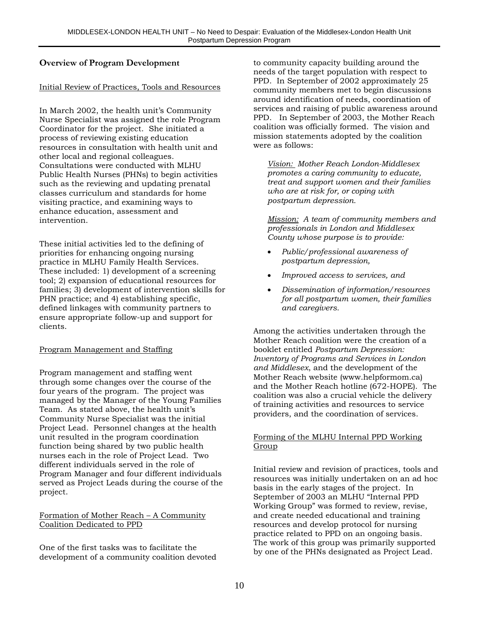#### **Overview of Program Development**

#### Initial Review of Practices, Tools and Resources

In March 2002, the health unit's Community Nurse Specialist was assigned the role Program Coordinator for the project. She initiated a process of reviewing existing education resources in consultation with health unit and other local and regional colleagues. Consultations were conducted with MLHU Public Health Nurses (PHNs) to begin activities such as the reviewing and updating prenatal classes curriculum and standards for home visiting practice, and examining ways to enhance education, assessment and intervention.

These initial activities led to the defining of priorities for enhancing ongoing nursing practice in MLHU Family Health Services. These included: 1) development of a screening tool; 2) expansion of educational resources for families; 3) development of intervention skills for PHN practice; and 4) establishing specific, defined linkages with community partners to ensure appropriate follow-up and support for clients.

#### Program Management and Staffing

Program management and staffing went through some changes over the course of the four years of the program. The project was managed by the Manager of the Young Families Team. As stated above, the health unit's Community Nurse Specialist was the initial Project Lead. Personnel changes at the health unit resulted in the program coordination function being shared by two public health nurses each in the role of Project Lead. Two different individuals served in the role of Program Manager and four different individuals served as Project Leads during the course of the project.

#### Formation of Mother Reach – A Community Coalition Dedicated to PPD

One of the first tasks was to facilitate the development of a community coalition devoted to community capacity building around the needs of the target population with respect to PPD. In September of 2002 approximately 25 community members met to begin discussions around identification of needs, coordination of services and raising of public awareness around PPD. In September of 2003, the Mother Reach coalition was officially formed. The vision and mission statements adopted by the coalition were as follows:

*Vision: Mother Reach London-Middlesex promotes a caring community to educate, treat and support women and their families who are at risk for, or coping with postpartum depression.*

*Mission: A team of community members and professionals in London and Middlesex County whose purpose is to provide:*

- *Public/professional awareness of postpartum depression,*
- *Improved access to services, and*
- *Dissemination of information/resources for all postpartum women, their families and caregivers.*

Among the activities undertaken through the Mother Reach coalition were the creation of a booklet entitled *Postpartum Depression: Inventory of Programs and Services in London and Middlesex*, and the development of the Mother Reach website (www.helpformom.ca) and the Mother Reach hotline (672-HOPE). The coalition was also a crucial vehicle the delivery of training activities and resources to service providers, and the coordination of services.

#### Forming of the MLHU Internal PPD Working Group

Initial review and revision of practices, tools and resources was initially undertaken on an ad hoc basis in the early stages of the project. In September of 2003 an MLHU "Internal PPD Working Group" was formed to review, revise, and create needed educational and training resources and develop protocol for nursing practice related to PPD on an ongoing basis. The work of this group was primarily supported by one of the PHNs designated as Project Lead.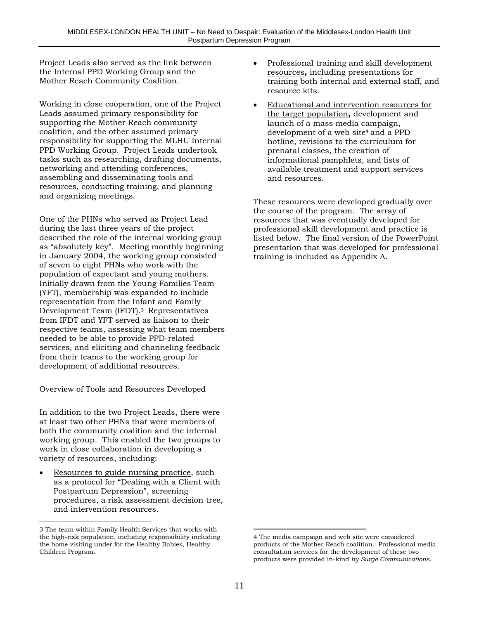Project Leads also served as the link between the Internal PPD Working Group and the Mother Reach Community Coalition.

Working in close cooperation, one of the Project Leads assumed primary responsibility for supporting the Mother Reach community coalition, and the other assumed primary responsibility for supporting the MLHU Internal PPD Working Group. Project Leads undertook tasks such as researching, drafting documents, networking and attending conferences, assembling and disseminating tools and resources, conducting training, and planning and organizing meetings.

One of the PHNs who served as Project Lead during the last three years of the project described the role of the internal working group as "absolutely key". Meeting monthly beginning in January 2004, the working group consisted of seven to eight PHNs who work with the population of expectant and young mothers. Initially drawn from the Young Families Team (YFT), membership was expanded to include representation from the Infant and Family Development Team (IFDT).3 Representatives from IFDT and YFT served as liaison to their respective teams, assessing what team members needed to be able to provide PPD-related services, and eliciting and channeling feedback from their teams to the working group for development of additional resources.

#### Overview of Tools and Resources Developed

In addition to the two Project Leads, there were at least two other PHNs that were members of both the community coalition and the internal working group. This enabled the two groups to work in close collaboration in developing a variety of resources, including:

• Resources to guide nursing practice, such as a protocol for "Dealing with a Client with Postpartum Depression", screening procedures, a risk assessment decision tree, and intervention resources.

 $\overline{a}$ 

- Professional training and skill development resources**,** including presentations for training both internal and external staff, and resource kits.
- Educational and intervention resources for the target population**,** development and launch of a mass media campaign, development of a web site<sup>4</sup> and a PPD hotline, revisions to the curriculum for prenatal classes, the creation of informational pamphlets, and lists of available treatment and support services and resources.

These resources were developed gradually over the course of the program. The array of resources that was eventually developed for professional skill development and practice is listed below. The final version of the PowerPoint presentation that was developed for professional training is included as Appendix A.

<sup>3</sup> The team within Family Health Services that works with the high-risk population, including responsibility including the home visiting under for the Healthy Babies, Healthy Children Program.

 $\overline{a}$ 4 The media campaign and web site were considered products of the Mother Reach coalition. Professional media consultation services for the development of these two products were provided in-kind *by Surge Communications.*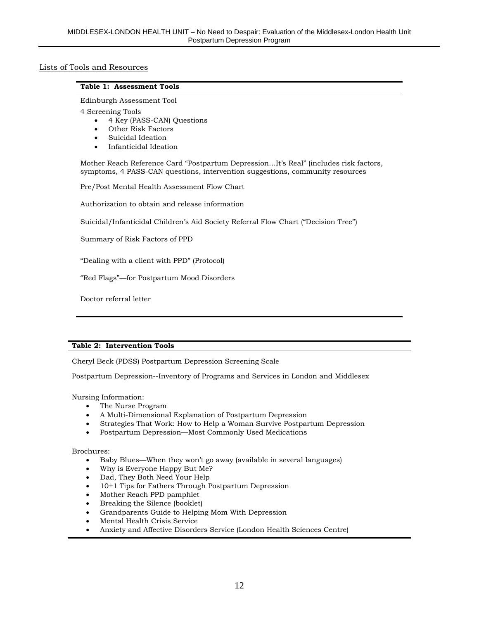#### Lists of Tools and Resources

#### **Table 1: Assessment Tools**

Edinburgh Assessment Tool

4 Screening Tools

- 4 Key (PASS-CAN) Questions
- Other Risk Factors
- Suicidal Ideation
- Infanticidal Ideation

Mother Reach Reference Card "Postpartum Depression…It's Real" (includes risk factors, symptoms, 4 PASS-CAN questions, intervention suggestions, community resources

Pre/Post Mental Health Assessment Flow Chart

Authorization to obtain and release information

Suicidal/Infanticidal Children's Aid Society Referral Flow Chart ("Decision Tree")

Summary of Risk Factors of PPD

"Dealing with a client with PPD" (Protocol)

"Red Flags"—for Postpartum Mood Disorders

Doctor referral letter

#### **Table 2: Intervention Tools**

Cheryl Beck (PDSS) Postpartum Depression Screening Scale

Postpartum Depression--Inventory of Programs and Services in London and Middlesex

Nursing Information:

- The Nurse Program
- A Multi-Dimensional Explanation of Postpartum Depression
- Strategies That Work: How to Help a Woman Survive Postpartum Depression
- Postpartum Depression—Most Commonly Used Medications

Brochures:

- Baby Blues—When they won't go away (available in several languages)
- Why is Everyone Happy But Me?
- Dad, They Both Need Your Help
- 10+1 Tips for Fathers Through Postpartum Depression
- Mother Reach PPD pamphlet
- Breaking the Silence (booklet)
- Grandparents Guide to Helping Mom With Depression
- Mental Health Crisis Service
- Anxiety and Affective Disorders Service (London Health Sciences Centre)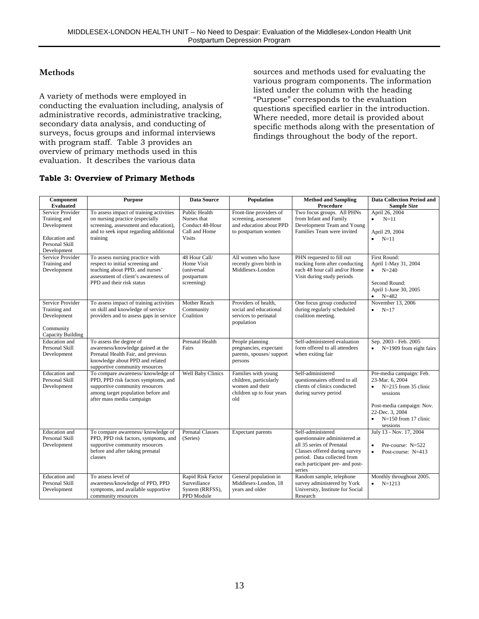#### **Methods**

A variety of methods were employed in conducting the evaluation including, analysis of administrative records, administrative tracking, secondary data analysis, and conducting of surveys, focus groups and informal interviews with program staff. Table 3 provides an overview of primary methods used in this evaluation. It describes the various data

sources and methods used for evaluating the various program components. The information listed under the column with the heading "Purpose" corresponds to the evaluation questions specified earlier in the introduction. Where needed, more detail is provided about specific methods along with the presentation of findings throughout the body of the report.

#### **Table 3: Overview of Primary Methods**

| Component<br><b>Evaluated</b>                                                                            | <b>Purpose</b>                                                                                                                                                                | <b>Data Source</b>                                                                | <b>Population</b>                                                                                    | <b>Method and Sampling</b><br>Procedure                                                                                                                                                      | <b>Data Collection Period and</b><br><b>Sample Size</b>                                                                                                                              |
|----------------------------------------------------------------------------------------------------------|-------------------------------------------------------------------------------------------------------------------------------------------------------------------------------|-----------------------------------------------------------------------------------|------------------------------------------------------------------------------------------------------|----------------------------------------------------------------------------------------------------------------------------------------------------------------------------------------------|--------------------------------------------------------------------------------------------------------------------------------------------------------------------------------------|
| Service Provider<br>Training and<br>Development<br><b>Education</b> and<br>Personal Skill<br>Development | To assess impact of training activities<br>on nursing practice (especially<br>screening, assessment and education),<br>and to seek input regarding additional<br>training     | Public Health<br>Nurses that<br>Conduct 48-Hour<br>Call and Home<br><b>Visits</b> | Front-line providers of<br>screening, assessment<br>and education about PPD<br>to postpartum women   | Two focus groups. All PHNs<br>from Infant and Family<br>Development Team and Young<br>Families Team were invited                                                                             | April 26, 2004<br>$\bullet$ N=11<br>April 29, 2004<br>$\bullet$ N=11                                                                                                                 |
| Service Provider<br>Training and<br>Development                                                          | To assess nursing practice with<br>respect to initial screening and<br>teaching about PPD, and nurses'<br>assessment of client's awareness of<br>PPD and their risk status    | 48 Hour Call/<br>Home Visit<br>(universal<br>postpartum<br>screening)             | All women who have<br>recently given birth in<br>Middlesex-London                                    | PHN requested to fill out<br>tracking form after conducting<br>each 48 hour call and/or Home<br>Visit during study periods                                                                   | First Round:<br>April 1-May 31, 2004<br>$N=240$<br>Second Round:<br>April 1-June 30, 2005<br>$N=482$                                                                                 |
| Service Provider<br>Training and<br>Development<br>Community<br>Capacity Building                        | To assess impact of training activities<br>on skill and knowledge of service<br>providers and to assess gaps in service                                                       | Mother Reach<br>Community<br>Coalition                                            | Providers of health.<br>social and educational<br>services to perinatal<br>population                | One focus group conducted<br>during regularly scheduled<br>coalition meeting.                                                                                                                | November 13, 2006<br>$N=17$                                                                                                                                                          |
| Education and<br>Personal Skill<br>Development                                                           | To assess the degree of<br>awareness/knowledge gained at the<br>Prenatal Health Fair, and previous<br>knowledge about PPD and related<br>supportive community resources       | <b>Prenatal Health</b><br>Fairs                                                   | People planning<br>pregnancies, expectant<br>parents, spouses/support<br>persons                     | Self-administered evaluation<br>form offered to all attendees<br>when exiting fair                                                                                                           | Sep. 2003 - Feb. 2005<br>$\bullet$ N=1909 from eight fairs                                                                                                                           |
| Education and<br>Personal Skill<br>Development                                                           | To compare awareness/knowledge of<br>PPD, PPD risk factors symptoms, and<br>supportive community resources<br>among target population before and<br>after mass media campaign | <b>Well Baby Clinics</b>                                                          | Families with young<br>children, particularly<br>women and their<br>children up to four years<br>old | Self-administered<br>questionnaires offered to all<br>clients of clinics conducted<br>during survey period                                                                                   | Pre-media campaign: Feb.<br>23-Mar. 6, 2004<br>$N=215$ from 35 clinic<br>sessions<br>Post-media campaign: Nov.<br>22-Dec. 3, 2004<br>$N=150$ from 17 clinic<br>$\bullet$<br>sessions |
| <b>Education</b> and<br>Personal Skill<br>Development                                                    | To compare awareness/knowledge of<br>PPD, PPD risk factors, symptoms, and<br>supportive community resources<br>before and after taking prenatal<br>classes                    | <b>Prenatal Classes</b><br>(Series)                                               | Expectant parents                                                                                    | Self-administered<br>questionnaire administered at<br>all 35 series of Prenatal<br>Classes offered during survey<br>period. Data collected from<br>each participant pre- and post-<br>series | July 13 - Nov. 17, 2004<br>Pre-course: $N=522$<br>Post-course: N=413<br>$\bullet$                                                                                                    |
| Education and<br>Personal Skill<br>Development                                                           | To assess level of<br>awareness/knowledge of PPD, PPD<br>symptoms, and available supportive<br>community resources                                                            | Rapid Risk Factor<br>Surveillance<br>System (RRFSS),<br>PPD Module                | General population in<br>Middlesex-London, 18<br>years and older                                     | Random sample, telephone<br>survey administered by York<br>University, Institute for Social<br>Research                                                                                      | Monthly throughout 2005.<br>$N=1213$                                                                                                                                                 |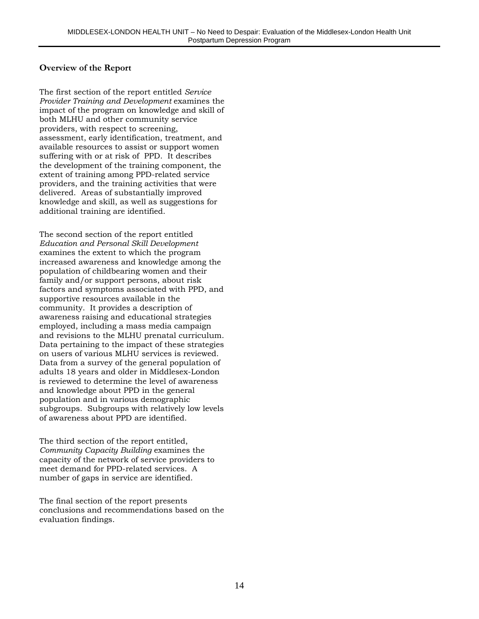#### **Overview of the Report**

The first section of the report entitled *Service Provider Training and Development* examines the impact of the program on knowledge and skill of both MLHU and other community service providers, with respect to screening, assessment, early identification, treatment, and available resources to assist or support women suffering with or at risk of PPD. It describes the development of the training component, the extent of training among PPD-related service providers, and the training activities that were delivered. Areas of substantially improved knowledge and skill, as well as suggestions for additional training are identified.

The second section of the report entitled *Education and Personal Skill Development* examines the extent to which the program increased awareness and knowledge among the population of childbearing women and their family and/or support persons, about risk factors and symptoms associated with PPD, and supportive resources available in the community. It provides a description of awareness raising and educational strategies employed, including a mass media campaign and revisions to the MLHU prenatal curriculum. Data pertaining to the impact of these strategies on users of various MLHU services is reviewed. Data from a survey of the general population of adults 18 years and older in Middlesex-London is reviewed to determine the level of awareness and knowledge about PPD in the general population and in various demographic subgroups. Subgroups with relatively low levels of awareness about PPD are identified.

The third section of the report entitled, *Community Capacity Building* examines the capacity of the network of service providers to meet demand for PPD-related services. A number of gaps in service are identified.

The final section of the report presents conclusions and recommendations based on the evaluation findings.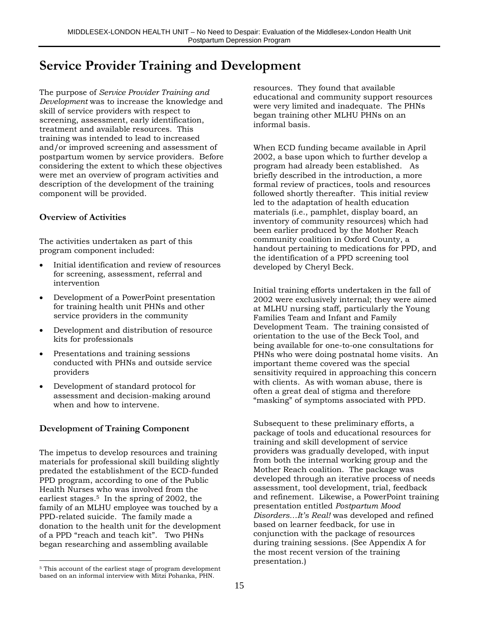## **Service Provider Training and Development**

The purpose of *Service Provider Training and Development* was to increase the knowledge and skill of service providers with respect to screening, assessment, early identification, treatment and available resources. This training was intended to lead to increased and/or improved screening and assessment of postpartum women by service providers. Before considering the extent to which these objectives were met an overview of program activities and description of the development of the training component will be provided.

#### **Overview of Activities**

The activities undertaken as part of this program component included:

- Initial identification and review of resources for screening, assessment, referral and intervention
- Development of a PowerPoint presentation for training health unit PHNs and other service providers in the community
- Development and distribution of resource kits for professionals
- Presentations and training sessions conducted with PHNs and outside service providers
- Development of standard protocol for assessment and decision-making around when and how to intervene.

### **Development of Training Component**

The impetus to develop resources and training materials for professional skill building slightly predated the establishment of the ECD-funded PPD program, according to one of the Public Health Nurses who was involved from the earliest stages.5 In the spring of 2002, the family of an MLHU employee was touched by a PPD-related suicide. The family made a donation to the health unit for the development of a PPD "reach and teach kit". Two PHNs began researching and assembling available

resources. They found that available educational and community support resources were very limited and inadequate. The PHNs began training other MLHU PHNs on an informal basis.

When ECD funding became available in April 2002, a base upon which to further develop a program had already been established. As briefly described in the introduction, a more formal review of practices, tools and resources followed shortly thereafter. This initial review led to the adaptation of health education materials (i.e., pamphlet, display board, an inventory of community resources) which had been earlier produced by the Mother Reach community coalition in Oxford County, a handout pertaining to medications for PPD, and the identification of a PPD screening tool developed by Cheryl Beck.

Initial training efforts undertaken in the fall of 2002 were exclusively internal; they were aimed at MLHU nursing staff, particularly the Young Families Team and Infant and Family Development Team. The training consisted of orientation to the use of the Beck Tool, and being available for one-to-one consultations for PHNs who were doing postnatal home visits. An important theme covered was the special sensitivity required in approaching this concern with clients. As with woman abuse, there is often a great deal of stigma and therefore "masking" of symptoms associated with PPD.

Subsequent to these preliminary efforts, a package of tools and educational resources for training and skill development of service providers was gradually developed, with input from both the internal working group and the Mother Reach coalition. The package was developed through an iterative process of needs assessment, tool development, trial, feedback and refinement. Likewise, a PowerPoint training presentation entitled *Postpartum Mood Disorders…It's Real!* was developed and refined based on learner feedback, for use in conjunction with the package of resources during training sessions. (See Appendix A for the most recent version of the training presentation.)

 $\overline{a}$ 5 This account of the earliest stage of program development based on an informal interview with Mitzi Pohanka, PHN.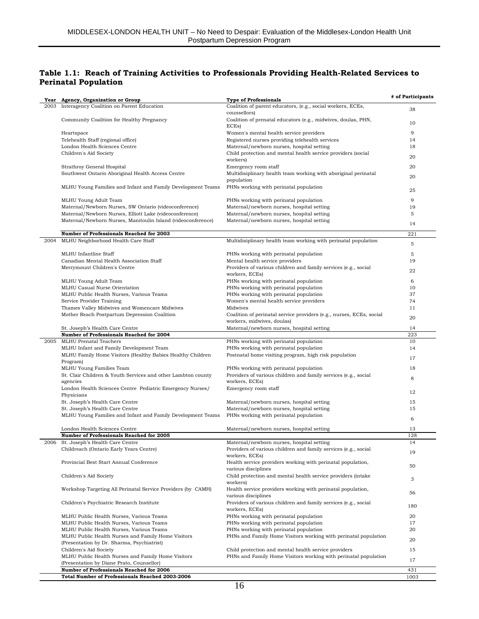#### **Table 1.1: Reach of Training Activities to Professionals Providing Health-Related Services to Perinatal Population**

|      | Year Agency, Organization or Group                                                                               | <b>Type of Professionals</b>                                                           | # of Participants |
|------|------------------------------------------------------------------------------------------------------------------|----------------------------------------------------------------------------------------|-------------------|
|      | 2003 Interagency Coalition on Parent Education                                                                   | Coalition of parent educators, (e.g., social workers, ECEs,                            | 38                |
|      | Community Coalition for Healthy Pregnancy                                                                        | counsellors)<br>Coalition of prenatal educators (e.g., midwives, doulas, PHN,          |                   |
|      |                                                                                                                  | ECEs)                                                                                  | 10                |
|      | Heartspace                                                                                                       | Women's mental health service providers                                                | 9                 |
|      | Telehealth Staff (regional office)                                                                               | Registered nurses providing telehealth services                                        | 14                |
|      | London Health Sciences Centre                                                                                    | Maternal/newborn nurses, hospital setting                                              | 18                |
|      | Children's Aid Society                                                                                           | Child protection and mental health service providers (social<br>workers)               | 20                |
|      | Strathroy General Hospital                                                                                       | Emergency room staff                                                                   | 20                |
|      | Southwest Ontario Aboriginal Health Access Centre                                                                | Multidisiplinary health team working with aboriginal perinatal                         | 20                |
|      | MLHU Young Families and Infant and Family Development Teams                                                      | population<br>PHNs working with perinatal population                                   | 25                |
|      |                                                                                                                  |                                                                                        | 9                 |
|      | MLHU Young Adult Team                                                                                            | PHNs working with perinatal population                                                 | 19                |
|      | Maternal/Newborn Nurses, SW Ontario (videoconference)<br>Maternal/Newborn Nurses, Elliott Lake (videoconference) | Maternal/newborn nurses, hospital setting<br>Maternal/newborn nurses, hospital setting | 5                 |
|      | Maternal/Newborn Nurses, Manitoulin Island (videoconference)                                                     | Maternal/newborn nurses, hospital setting                                              |                   |
|      |                                                                                                                  |                                                                                        | 14                |
|      | Number of Professionals Reached for 2003                                                                         |                                                                                        | 221               |
| 2004 | MLHU Neighborhood Health Care Staff                                                                              | Multidisiplinary health team working with perinatal population                         |                   |
|      |                                                                                                                  |                                                                                        | 5                 |
|      | MLHU Infantline Staff                                                                                            | PHNs working with perinatal population                                                 | 5                 |
|      | Canadian Mental Health Association Staff                                                                         | Mental health service providers                                                        | 19                |
|      | Merrymount Children's Centre                                                                                     | Providers of various children and family services (e.g., social                        |                   |
|      |                                                                                                                  | workers, ECEs)                                                                         | 22                |
|      | MLHU Young Adult Team                                                                                            | PHNs working with perinatal population                                                 | 6                 |
|      | MLHU Casual Nurse Orientation                                                                                    | PHNs working with perinatal population                                                 | 10                |
|      | MLHU Public Health Nurses, Various Teams                                                                         | PHNs working with perinatal population                                                 | 37                |
|      | Service Provider Training                                                                                        | Women's mental health service providers                                                | 74                |
|      | Thames Valley Midwives and Womencare Midwives                                                                    | <b>Midwives</b>                                                                        | 11                |
|      | Mother Reach Postpartum Depression Coalition                                                                     | Coalition of perinatal service providers (e.g., nurses, ECEs, social                   |                   |
|      |                                                                                                                  | workers, midwives, doulas)                                                             | 20                |
|      | St. Joseph's Health Care Centre                                                                                  | Maternal/newborn nurses, hospital setting                                              | 14                |
|      | Number of Professionals Reached for 2004                                                                         |                                                                                        | 223               |
| 2005 | MLHU Prenatal Teachers                                                                                           | PHNs working with perinatal population                                                 | 10                |
|      | MLHU Infant and Family Development Team                                                                          | PHNs working with perinatal population                                                 | 14                |
|      | MLHU Family Home Visitors (Healthy Babies Healthy Children                                                       | Postnatal home visiting program, high risk population                                  | 17                |
|      | Program)                                                                                                         |                                                                                        |                   |
|      | MLHU Young Families Team                                                                                         | PHNs working with perinatal population                                                 | 18                |
|      | St. Clair Children & Youth Services and other Lambton county                                                     | Providers of various children and family services (e.g., social                        | 8                 |
|      | agencies                                                                                                         | workers, ECEs)                                                                         |                   |
|      | London Health Sciences Centre Pediatric Emergency Nurses/<br>Physicians                                          | Emergency room staff                                                                   | 12                |
|      | St. Joseph's Health Care Centre                                                                                  | Maternal/newborn nurses, hospital setting                                              | 15                |
|      | St. Joseph's Health Care Centre                                                                                  | Maternal/newborn nurses, hospital setting                                              | 15                |
|      | MLHU Young Families and Infant and Family Development Teams                                                      | PHNs working with perinatal population                                                 |                   |
|      |                                                                                                                  |                                                                                        | 6                 |
|      | London Health Sciences Centre                                                                                    | Maternal/newborn nurses, hospital setting                                              | 13                |
|      | Number of Professionals Reached for 2005                                                                         |                                                                                        | 128               |
|      | 2006 St. Joseph's Health Care Centre                                                                             | Maternal/newborn nurses, hospital setting                                              | 14                |
|      | Childreach (Ontario Early Years Centre)                                                                          | Providers of various children and family services (e.g., social<br>workers, ECEs)      | 19                |
|      | Provincial Best Start Annual Conference                                                                          | Health service providers working with perinatal population,                            | 50                |
|      | Children's Aid Society                                                                                           | various disciplines<br>Child protection and mental health service providers (intake    | 3                 |
|      | Workshop Targeting All Perinatal Service Providers (by CAMH)                                                     | workers)<br>Health service providers working with perinatal population,                | 56                |
|      | Children's Psychiatric Research Institute                                                                        | various disciplines<br>Providers of various children and family services (e.g., social |                   |
|      |                                                                                                                  | workers, ECEs)                                                                         | 180               |
|      | MLHU Public Health Nurses, Various Teams                                                                         | PHNs working with perinatal population                                                 | 20                |
|      | MLHU Public Health Nurses, Various Teams                                                                         | PHNs working with perinatal population                                                 | 17                |
|      | MLHU Public Health Nurses, Various Teams                                                                         | PHNs working with perinatal population                                                 | 20                |
|      | MLHU Public Health Nurses and Family Home Visitors                                                               | PHNs and Family Home Visitors working with perinatal population                        | 20                |
|      | (Presentation by Dr. Sharma, Psychiatrist)                                                                       |                                                                                        |                   |
|      | Children's Aid Society                                                                                           | Child protection and mental health service providers                                   | 15                |
|      | MLHU Public Health Nurses and Family Home Visitors<br>(Presentation by Diane Prato, Counsellor)                  | PHNs and Family Home Visitors working with perinatal population                        | 17                |
|      | Number of Professionals Reached for 2006                                                                         |                                                                                        | 431               |
|      | Total Number of Professionals Reached 2003-2006                                                                  |                                                                                        | 1003              |
|      |                                                                                                                  |                                                                                        |                   |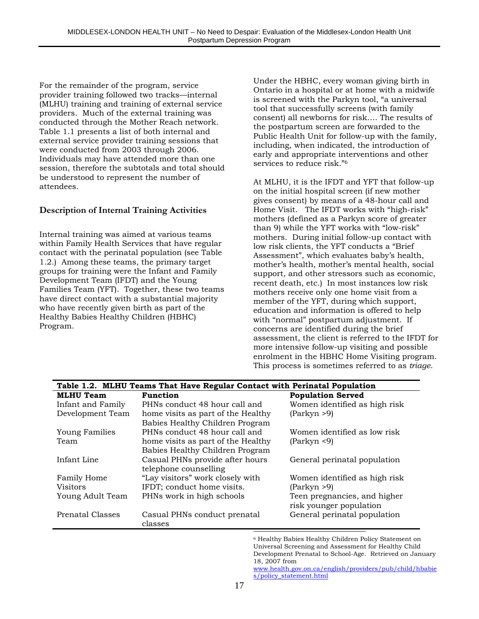For the remainder of the program, service provider training followed two tracks—internal (MLHU) training and training of external service providers. Much of the external training was conducted through the Mother Reach network. Table 1.1 presents a list of both internal and external service provider training sessions that were conducted from 2003 through 2006. Individuals may have attended more than one session, therefore the subtotals and total should be understood to represent the number of attendees.

#### **Description of Internal Training Activities**

Internal training was aimed at various teams within Family Health Services that have regular contact with the perinatal population (see Table 1.2.) Among these teams, the primary target groups for training were the Infant and Family Development Team (IFDT) and the Young Families Team (YFT). Together, these two teams have direct contact with a substantial majority who have recently given birth as part of the Healthy Babies Healthy Children (HBHC) Program.

Under the HBHC, every woman giving birth in Ontario in a hospital or at home with a midwife is screened with the Parkyn tool, "a universal tool that successfully screens (with family consent) all newborns for risk…. The results of the postpartum screen are forwarded to the Public Health Unit for follow-up with the family, including, when indicated, the introduction of early and appropriate interventions and other services to reduce risk."6

At MLHU, it is the IFDT and YFT that follow-up on the initial hospital screen (if new mother gives consent) by means of a 48-hour call and Home Visit. The IFDT works with "high-risk" mothers (defined as a Parkyn score of greater than 9) while the YFT works with "low-risk" mothers. During initial follow-up contact with low risk clients, the YFT conducts a "Brief Assessment", which evaluates baby's health, mother's health, mother's mental health, social support, and other stressors such as economic, recent death, etc.) In most instances low risk mothers receive only one home visit from a member of the YFT, during which support, education and information is offered to help with "normal" postpartum adjustment. If concerns are identified during the brief assessment, the client is referred to the IFDT for more intensive follow-up visiting and possible enrolment in the HBHC Home Visiting program. This process is sometimes referred to as *triage*.

| Table 1.2. MLHU Teams That Have Regular Contact with Perinatal Population |                                    |                               |  |  |  |  |
|---------------------------------------------------------------------------|------------------------------------|-------------------------------|--|--|--|--|
| <b>MLHU</b> Team<br><b>Function</b><br><b>Population Served</b>           |                                    |                               |  |  |  |  |
| Infant and Family                                                         | PHNs conduct 48 hour call and      | Women identified as high risk |  |  |  |  |
| Development Team                                                          | home visits as part of the Healthy | (Parkyn > 9)                  |  |  |  |  |
|                                                                           | Babies Healthy Children Program    |                               |  |  |  |  |
| <b>Young Families</b>                                                     | PHNs conduct 48 hour call and      | Women identified as low risk  |  |  |  |  |
| Team                                                                      | home visits as part of the Healthy | (Parkyn < 9)                  |  |  |  |  |
|                                                                           | Babies Healthy Children Program    |                               |  |  |  |  |
| Infant Line                                                               | Casual PHNs provide after hours    | General perinatal population  |  |  |  |  |
|                                                                           | telephone counselling              |                               |  |  |  |  |
| <b>Family Home</b>                                                        | "Lay visitors" work closely with   | Women identified as high risk |  |  |  |  |
| <b>Visitors</b>                                                           | IFDT; conduct home visits.         | (Parkyn > 9)                  |  |  |  |  |
| Young Adult Team                                                          | PHNs work in high schools          | Teen pregnancies, and higher  |  |  |  |  |
|                                                                           |                                    | risk younger population       |  |  |  |  |
| Prenatal Classes                                                          | Casual PHNs conduct prenatal       | General perinatal population  |  |  |  |  |
|                                                                           | classes                            |                               |  |  |  |  |
|                                                                           |                                    |                               |  |  |  |  |

<sup>6</sup> Healthy Babies Healthy Children Policy Statement on Universal Screening and Assessment for Healthy Child Development Prenatal to School-Age. Retrieved on January 18, 2007 from

www.health.gov.on.ca/english/providers/pub/child/hbabie s/policy\_statement.html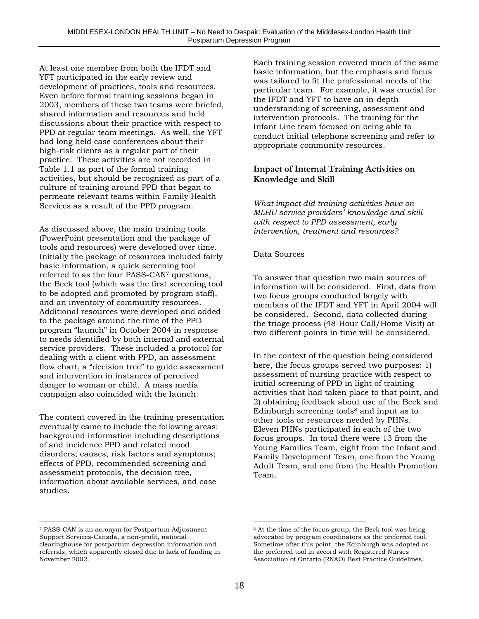At least one member from both the IFDT and YFT participated in the early review and development of practices, tools and resources. Even before formal training sessions began in 2003, members of these two teams were briefed, shared information and resources and held discussions about their practice with respect to PPD at regular team meetings. As well, the YFT had long held case conferences about their high-risk clients as a regular part of their practice. These activities are not recorded in Table 1.1 as part of the formal training activities, but should be recognized as part of a culture of training around PPD that began to permeate relevant teams within Family Health Services as a result of the PPD program.

As discussed above, the main training tools (PowerPoint presentation and the package of tools and resources) were developed over time. Initially the package of resources included fairly basic information, a quick screening tool referred to as the four PASS-CAN7 questions, the Beck tool (which was the first screening tool to be adopted and promoted by program staff), and an inventory of community resources. Additional resources were developed and added to the package around the time of the PPD program "launch" in October 2004 in response to needs identified by both internal and external service providers. These included a protocol for dealing with a client with PPD, an assessment flow chart, a "decision tree" to guide assessment and intervention in instances of perceived danger to woman or child. A mass media campaign also coincided with the launch.

The content covered in the training presentation eventually came to include the following areas: background information including descriptions of and incidence PPD and related mood disorders; causes, risk factors and symptoms; effects of PPD, recommended screening and assessment protocols, the decision tree, information about available services, and case studies.

Each training session covered much of the same basic information, but the emphasis and focus was tailored to fit the professional needs of the particular team. For example, it was crucial for the IFDT and YFT to have an in-depth understanding of screening, assessment and intervention protocols. The training for the Infant Line team focused on being able to conduct initial telephone screening and refer to appropriate community resources.

#### **Impact of Internal Training Activities on Knowledge and Skill**

*What impact did training activities have on MLHU service providers' knowledge and skill with respect to PPD assessment, early intervention, treatment and resources?*

#### Data Sources

To answer that question two main sources of information will be considered. First, data from two focus groups conducted largely with members of the IFDT and YFT in April 2004 will be considered. Second, data collected during the triage process (48-Hour Call/Home Visit) at two different points in time will be considered.

In the context of the question being considered here, the focus groups served two purposes: 1) assessment of nursing practice with respect to initial screening of PPD in light of training activities that had taken place to that point, and 2) obtaining feedback about use of the Beck and Edinburgh screening tools $8$  and input as to other tools or resources needed by PHNs. Eleven PHNs participated in each of the two focus groups. In total there were 13 from the Young Families Team, eight from the Infant and Family Development Team, one from the Young Adult Team, and one from the Health Promotion Team.

 $\overline{a}$ 

 $\overline{a}$ 7 PASS-CAN is an acronym for Postpartum Adjustment Support Services-Canada, a non-profit, national clearinghouse for postpartum depression information and referrals, which apparently closed due to lack of funding in November 2002.

<sup>&</sup>lt;sup>8</sup> At the time of the focus group, the Beck tool was being advocated by program coordinators as the preferred tool. Sometime after this point, the Edinburgh was adopted as the preferred tool in accord with Registered Nurses Association of Ontario (RNAO) Best Practice Guidelines.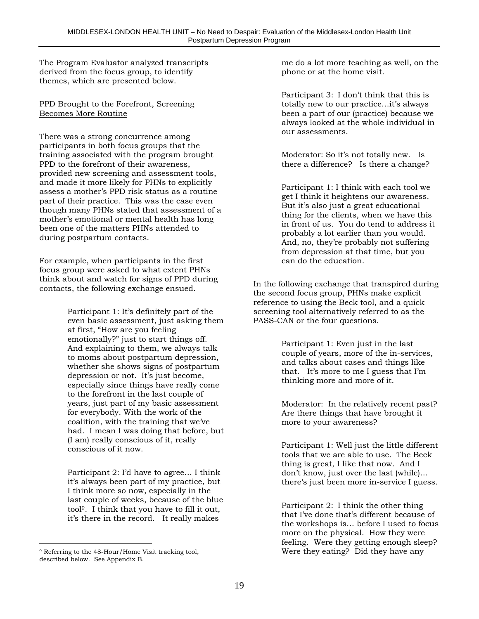The Program Evaluator analyzed transcripts derived from the focus group, to identify themes, which are presented below.

#### PPD Brought to the Forefront, Screening Becomes More Routine

There was a strong concurrence among participants in both focus groups that the training associated with the program brought PPD to the forefront of their awareness, provided new screening and assessment tools, and made it more likely for PHNs to explicitly assess a mother's PPD risk status as a routine part of their practice. This was the case even though many PHNs stated that assessment of a mother's emotional or mental health has long been one of the matters PHNs attended to during postpartum contacts.

For example, when participants in the first focus group were asked to what extent PHNs think about and watch for signs of PPD during contacts, the following exchange ensued.

> Participant 1: It's definitely part of the even basic assessment, just asking them at first, "How are you feeling emotionally?" just to start things off. And explaining to them, we always talk to moms about postpartum depression, whether she shows signs of postpartum depression or not. It's just become, especially since things have really come to the forefront in the last couple of years, just part of my basic assessment for everybody. With the work of the coalition, with the training that we've had. I mean I was doing that before, but (I am) really conscious of it, really conscious of it now.

> Participant 2: I'd have to agree… I think it's always been part of my practice, but I think more so now, especially in the last couple of weeks, because of the blue tool9. I think that you have to fill it out, it's there in the record. It really makes

me do a lot more teaching as well, on the phone or at the home visit.

Participant 3: I don't think that this is totally new to our practice…it's always been a part of our (practice) because we always looked at the whole individual in our assessments.

Moderator: So it's not totally new. Is there a difference? Is there a change?

Participant 1: I think with each tool we get I think it heightens our awareness. But it's also just a great educational thing for the clients, when we have this in front of us. You do tend to address it probably a lot earlier than you would. And, no, they're probably not suffering from depression at that time, but you can do the education.

In the following exchange that transpired during the second focus group, PHNs make explicit reference to using the Beck tool, and a quick screening tool alternatively referred to as the PASS-CAN or the four questions.

> Participant 1: Even just in the last couple of years, more of the in-services, and talks about cases and things like that. It's more to me I guess that I'm thinking more and more of it.

Moderator: In the relatively recent past? Are there things that have brought it more to your awareness?

Participant 1: Well just the little different tools that we are able to use. The Beck thing is great, I like that now. And I don't know, just over the last (while)… there's just been more in-service I guess.

Participant 2: I think the other thing that I've done that's different because of the workshops is… before I used to focus more on the physical. How they were feeling. Were they getting enough sleep? Were they eating? Did they have any

 $\overline{a}$ <sup>9</sup> Referring to the 48-Hour/Home Visit tracking tool, described below. See Appendix B.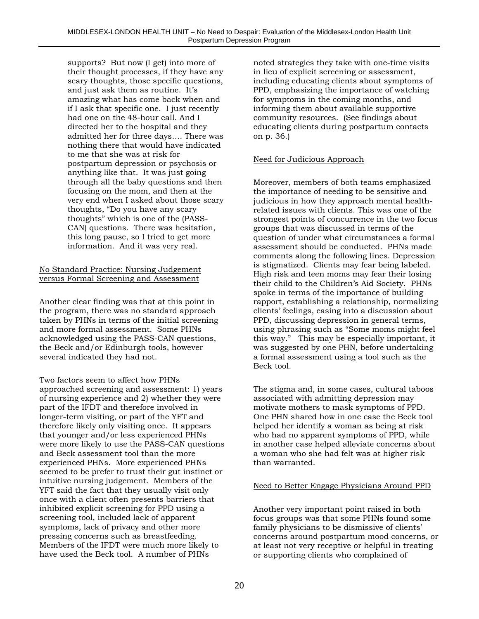supports? But now (I get) into more of their thought processes, if they have any scary thoughts, those specific questions, and just ask them as routine. It's amazing what has come back when and if I ask that specific one. I just recently had one on the 48-hour call. And I directed her to the hospital and they admitted her for three days…. There was nothing there that would have indicated to me that she was at risk for postpartum depression or psychosis or anything like that. It was just going through all the baby questions and then focusing on the mom, and then at the very end when I asked about those scary thoughts, "Do you have any scary thoughts" which is one of the (PASS-CAN) questions. There was hesitation, this long pause, so I tried to get more information. And it was very real.

#### No Standard Practice: Nursing Judgement versus Formal Screening and Assessment

Another clear finding was that at this point in the program, there was no standard approach taken by PHNs in terms of the initial screening and more formal assessment. Some PHNs acknowledged using the PASS-CAN questions, the Beck and/or Edinburgh tools, however several indicated they had not.

Two factors seem to affect how PHNs approached screening and assessment: 1) years of nursing experience and 2) whether they were part of the IFDT and therefore involved in longer-term visiting, or part of the YFT and therefore likely only visiting once. It appears that younger and/or less experienced PHNs were more likely to use the PASS-CAN questions and Beck assessment tool than the more experienced PHNs. More experienced PHNs seemed to be prefer to trust their gut instinct or intuitive nursing judgement. Members of the YFT said the fact that they usually visit only once with a client often presents barriers that inhibited explicit screening for PPD using a screening tool, included lack of apparent symptoms, lack of privacy and other more pressing concerns such as breastfeeding. Members of the IFDT were much more likely to have used the Beck tool. A number of PHNs

noted strategies they take with one-time visits in lieu of explicit screening or assessment, including educating clients about symptoms of PPD, emphasizing the importance of watching for symptoms in the coming months, and informing them about available supportive community resources. (See findings about educating clients during postpartum contacts on p. 36.)

#### Need for Judicious Approach

Moreover, members of both teams emphasized the importance of needing to be sensitive and judicious in how they approach mental healthrelated issues with clients. This was one of the strongest points of concurrence in the two focus groups that was discussed in terms of the question of under what circumstances a formal assessment should be conducted. PHNs made comments along the following lines. Depression is stigmatized. Clients may fear being labeled. High risk and teen moms may fear their losing their child to the Children's Aid Society. PHNs spoke in terms of the importance of building rapport, establishing a relationship, normalizing clients' feelings, easing into a discussion about PPD, discussing depression in general terms, using phrasing such as "Some moms might feel this way." This may be especially important, it was suggested by one PHN, before undertaking a formal assessment using a tool such as the Beck tool.

The stigma and, in some cases, cultural taboos associated with admitting depression may motivate mothers to mask symptoms of PPD. One PHN shared how in one case the Beck tool helped her identify a woman as being at risk who had no apparent symptoms of PPD, while in another case helped alleviate concerns about a woman who she had felt was at higher risk than warranted.

#### Need to Better Engage Physicians Around PPD

Another very important point raised in both focus groups was that some PHNs found some family physicians to be dismissive of clients' concerns around postpartum mood concerns, or at least not very receptive or helpful in treating or supporting clients who complained of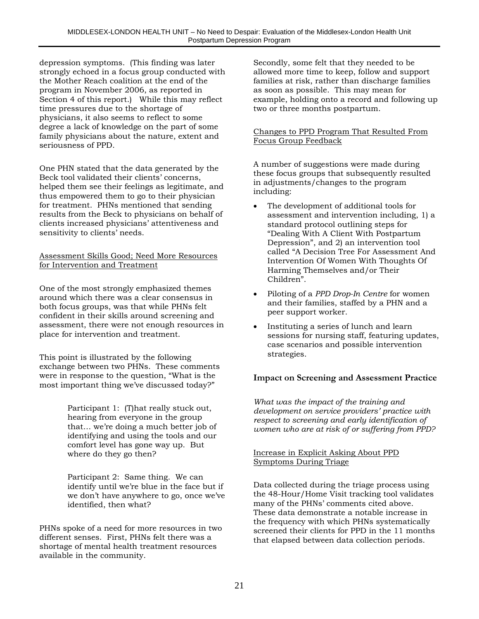depression symptoms. (This finding was later strongly echoed in a focus group conducted with the Mother Reach coalition at the end of the program in November 2006, as reported in Section 4 of this report.) While this may reflect time pressures due to the shortage of physicians, it also seems to reflect to some degree a lack of knowledge on the part of some family physicians about the nature, extent and seriousness of PPD.

One PHN stated that the data generated by the Beck tool validated their clients' concerns, helped them see their feelings as legitimate, and thus empowered them to go to their physician for treatment. PHNs mentioned that sending results from the Beck to physicians on behalf of clients increased physicians' attentiveness and sensitivity to clients' needs.

#### Assessment Skills Good; Need More Resources for Intervention and Treatment

One of the most strongly emphasized themes around which there was a clear consensus in both focus groups, was that while PHNs felt confident in their skills around screening and assessment, there were not enough resources in place for intervention and treatment.

This point is illustrated by the following exchange between two PHNs. These comments were in response to the question, "What is the most important thing we've discussed today?"

> Participant 1: (T)hat really stuck out, hearing from everyone in the group that… we're doing a much better job of identifying and using the tools and our comfort level has gone way up. But where do they go then?

Participant 2: Same thing. We can identify until we're blue in the face but if we don't have anywhere to go, once we've identified, then what?

PHNs spoke of a need for more resources in two different senses. First, PHNs felt there was a shortage of mental health treatment resources available in the community.

Secondly, some felt that they needed to be allowed more time to keep, follow and support families at risk, rather than discharge families as soon as possible. This may mean for example, holding onto a record and following up two or three months postpartum.

#### Changes to PPD Program That Resulted From Focus Group Feedback

A number of suggestions were made during these focus groups that subsequently resulted in adjustments/changes to the program including:

- The development of additional tools for assessment and intervention including, 1) a standard protocol outlining steps for "Dealing With A Client With Postpartum Depression", and 2) an intervention tool called "A Decision Tree For Assessment And Intervention Of Women With Thoughts Of Harming Themselves and/or Their Children".
- Piloting of a *PPD Drop-In Centre* for women and their families, staffed by a PHN and a peer support worker.
- Instituting a series of lunch and learn sessions for nursing staff, featuring updates, case scenarios and possible intervention strategies.

#### **Impact on Screening and Assessment Practice**

*What was the impact of the training and development on service providers' practice with respect to screening and early identification of women who are at risk of or suffering from PPD?*

#### Increase in Explicit Asking About PPD Symptoms During Triage

Data collected during the triage process using the 48-Hour/Home Visit tracking tool validates many of the PHNs' comments cited above. These data demonstrate a notable increase in the frequency with which PHNs systematically screened their clients for PPD in the 11 months that elapsed between data collection periods.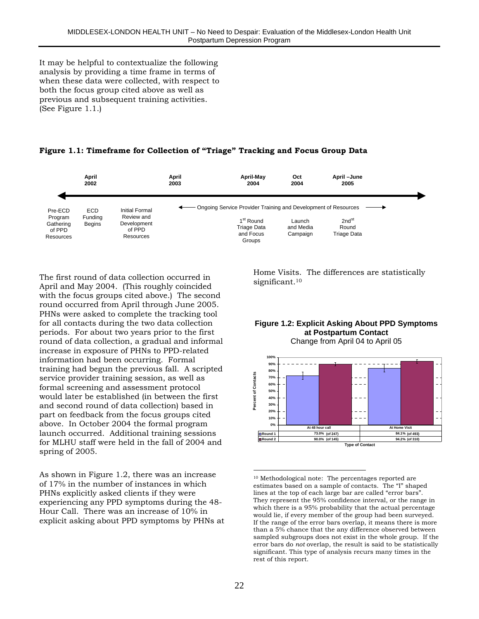It may be helpful to contextualize the following analysis by providing a time frame in terms of when these data were collected, with respect to both the focus group cited above as well as previous and subsequent training activities. (See Figure 1.1.)





The first round of data collection occurred in April and May 2004. (This roughly coincided with the focus groups cited above.) The second round occurred from April through June 2005. PHNs were asked to complete the tracking tool for all contacts during the two data collection periods. For about two years prior to the first round of data collection, a gradual and informal increase in exposure of PHNs to PPD-related information had been occurring. Formal training had begun the previous fall. A scripted service provider training session, as well as formal screening and assessment protocol would later be established (in between the first and second round of data collection) based in part on feedback from the focus groups cited above. In October 2004 the formal program launch occurred. Additional training sessions for MLHU staff were held in the fall of 2004 and spring of 2005.

As shown in Figure 1.2, there was an increase of 17% in the number of instances in which PHNs explicitly asked clients if they were experiencing any PPD symptoms during the 48- Hour Call. There was an increase of 10% in explicit asking about PPD symptoms by PHNs at Home Visits. The differences are statistically significant.<sup>10</sup>

#### **Figure 1.2: Explicit Asking About PPD Symptoms at Postpartum Contact** Change from April 04 to April 05



 $\overline{a}$ 10 Methodological note: The percentages reported are estimates based on a sample of contacts. The "I" shaped lines at the top of each large bar are called "error bars". They represent the 95% confidence interval, or the range in which there is a 95% probability that the actual percentage would lie, if every member of the group had been surveyed. If the range of the error bars overlap, it means there is more than a 5% chance that the any difference observed between sampled subgroups does not exist in the whole group. If the error bars do *not* overlap, the result is said to be statistically significant. This type of analysis recurs many times in the rest of this report.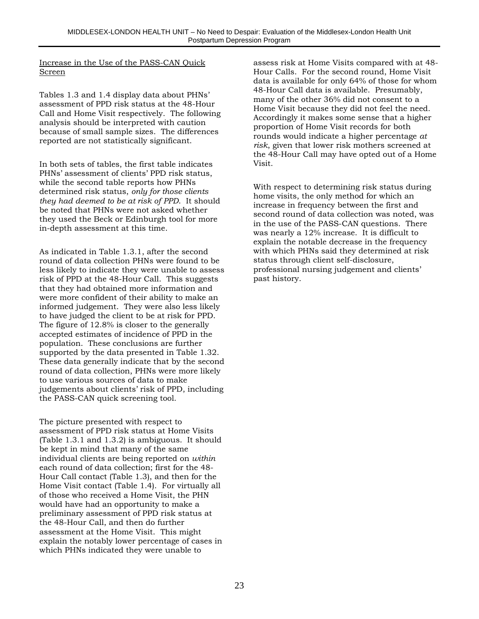#### Increase in the Use of the PASS-CAN Quick Screen

Tables 1.3 and 1.4 display data about PHNs' assessment of PPD risk status at the 48-Hour Call and Home Visit respectively. The following analysis should be interpreted with caution because of small sample sizes. The differences reported are not statistically significant.

In both sets of tables, the first table indicates PHNs' assessment of clients' PPD risk status, while the second table reports how PHNs determined risk status, *only for those clients they had deemed to be at risk of PPD*. It should be noted that PHNs were not asked whether they used the Beck or Edinburgh tool for more in-depth assessment at this time.

As indicated in Table 1.3.1, after the second round of data collection PHNs were found to be less likely to indicate they were unable to assess risk of PPD at the 48-Hour Call. This suggests that they had obtained more information and were more confident of their ability to make an informed judgement. They were also less likely to have judged the client to be at risk for PPD. The figure of 12.8% is closer to the generally accepted estimates of incidence of PPD in the population. These conclusions are further supported by the data presented in Table 1.32. These data generally indicate that by the second round of data collection, PHNs were more likely to use various sources of data to make judgements about clients' risk of PPD, including the PASS-CAN quick screening tool.

The picture presented with respect to assessment of PPD risk status at Home Visits (Table 1.3.1 and 1.3.2) is ambiguous. It should be kept in mind that many of the same individual clients are being reported on *within* each round of data collection; first for the 48- Hour Call contact (Table 1.3), and then for the Home Visit contact (Table 1.4). For virtually all of those who received a Home Visit, the PHN would have had an opportunity to make a preliminary assessment of PPD risk status at the 48-Hour Call, and then do further assessment at the Home Visit. This might explain the notably lower percentage of cases in which PHNs indicated they were unable to

assess risk at Home Visits compared with at 48- Hour Calls. For the second round, Home Visit data is available for only 64% of those for whom 48-Hour Call data is available. Presumably, many of the other 36% did not consent to a Home Visit because they did not feel the need. Accordingly it makes some sense that a higher proportion of Home Visit records for both rounds would indicate a higher percentage *at risk*, given that lower risk mothers screened at the 48-Hour Call may have opted out of a Home Visit.

With respect to determining risk status during home visits, the only method for which an increase in frequency between the first and second round of data collection was noted, was in the use of the PASS-CAN questions. There was nearly a 12% increase. It is difficult to explain the notable decrease in the frequency with which PHNs said they determined at risk status through client self-disclosure, professional nursing judgement and clients' past history.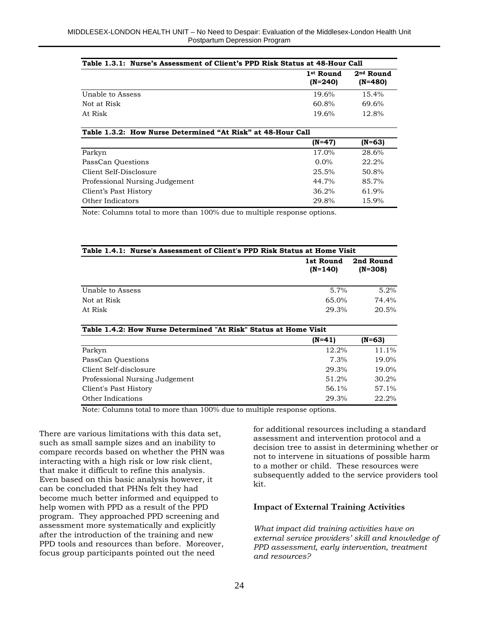| Table 1.3.1: Nurse's Assessment of Client's PPD Risk Status at 48-Hour Call |                                    |                                    |  |  |  |
|-----------------------------------------------------------------------------|------------------------------------|------------------------------------|--|--|--|
|                                                                             | 1 <sup>st</sup> Round<br>$(N=240)$ | 2 <sup>nd</sup> Round<br>$(N=480)$ |  |  |  |
| Unable to Assess                                                            | 19.6%                              | $15.4\%$                           |  |  |  |
| Not at Risk                                                                 | 60.8%                              | 69.6%                              |  |  |  |
| At Risk                                                                     | 19.6%                              | $12.8\%$                           |  |  |  |
| Table 1.3.2: How Nurse Determined "At Risk" at 48-Hour Call                 |                                    |                                    |  |  |  |

|                                | $(N=47)$ | $(N=63)$ |
|--------------------------------|----------|----------|
| Parkyn                         | 17.0%    | 28.6%    |
| PassCan Questions              | $0.0\%$  | 22.2%    |
| Client Self-Disclosure         | 25.5%    | 50.8%    |
| Professional Nursing Judgement | 44.7%    | 85.7%    |
| Client's Past History          | 36.2%    | 61.9%    |
| Other Indicators               | 29.8%    | 15.9%    |
|                                |          |          |

Note: Columns total to more than 100% due to multiple response options.

| Table 1.4.1: Nurse's Assessment of Client's PPD Risk Status at Home Visit |                        |                        |  |
|---------------------------------------------------------------------------|------------------------|------------------------|--|
|                                                                           | 1st Round<br>$(N=140)$ | 2nd Round<br>$(N=308)$ |  |
| Unable to Assess                                                          | 5.7%                   | 5.2%                   |  |
| Not at Risk                                                               | 65.0%                  | 74.4%                  |  |
| At Risk                                                                   | 29.3%                  | 20.5%                  |  |
| Table 1.4.2: How Nurse Determined "At Risk" Status at Home Visit          |                        |                        |  |
|                                                                           | (N=41)                 | (N=63)                 |  |

|                                | 111-TI | וכט-ווו |
|--------------------------------|--------|---------|
| Parkyn                         | 12.2%  | 11.1%   |
| PassCan Questions              | 7.3%   | 19.0%   |
| Client Self-disclosure         | 29.3%  | 19.0%   |
| Professional Nursing Judgement | 51.2%  | 30.2%   |
| Client's Past History          | 56.1%  | 57.1%   |
| Other Indications              | 29.3%  | 22.2%   |

Note: Columns total to more than 100% due to multiple response options.

There are various limitations with this data set, such as small sample sizes and an inability to compare records based on whether the PHN was interacting with a high risk or low risk client, that make it difficult to refine this analysis. Even based on this basic analysis however, it can be concluded that PHNs felt they had become much better informed and equipped to help women with PPD as a result of the PPD program. They approached PPD screening and assessment more systematically and explicitly after the introduction of the training and new PPD tools and resources than before. Moreover, focus group participants pointed out the need

for additional resources including a standard assessment and intervention protocol and a decision tree to assist in determining whether or not to intervene in situations of possible harm to a mother or child. These resources were subsequently added to the service providers tool kit.

#### **Impact of External Training Activities**

*What impact did training activities have on external service providers' skill and knowledge of PPD assessment, early intervention, treatment and resources?*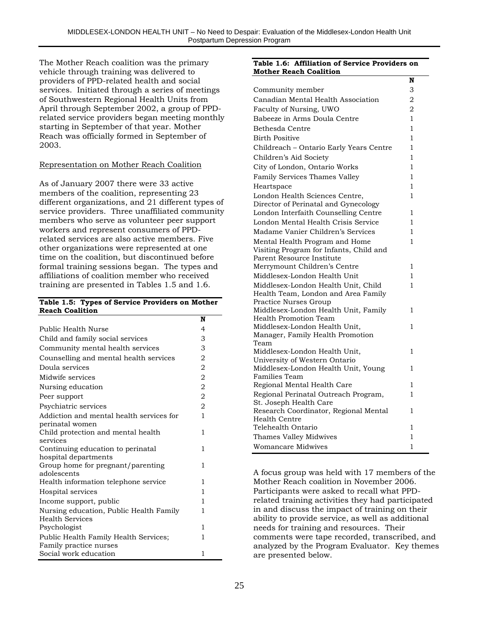The Mother Reach coalition was the primary vehicle through training was delivered to providers of PPD-related health and social services. Initiated through a series of meetings of Southwestern Regional Health Units from April through September 2002, a group of PPDrelated service providers began meeting monthly starting in September of that year. Mother Reach was officially formed in September of 2003.

#### Representation on Mother Reach Coalition

As of January 2007 there were 33 active members of the coalition, representing 23 different organizations, and 21 different types of service providers. Three unaffiliated community members who serve as volunteer peer support workers and represent consumers of PPDrelated services are also active members. Five other organizations were represented at one time on the coalition, but discontinued before formal training sessions began. The types and affiliations of coalition member who received training are presented in Tables 1.5 and 1.6.

#### **Table 1.5: Types of Service Providers on Mother Reach Coalition**

|                                                           | N              |
|-----------------------------------------------------------|----------------|
| Public Health Nurse                                       | 4              |
| Child and family social services                          | 3              |
| Community mental health services                          | 3              |
| Counselling and mental health services                    | 2              |
| Doula services                                            | 2              |
| Midwife services                                          | $\overline{c}$ |
| Nursing education                                         | $\overline{2}$ |
| Peer support                                              | 2              |
| Psychiatric services                                      | 2              |
| Addiction and mental health services for                  | 1              |
| perinatal women                                           |                |
| Child protection and mental health                        | 1              |
| services                                                  |                |
| Continuing education to perinatal<br>hospital departments | 1              |
| Group home for pregnant/parenting                         | 1              |
| adolescents                                               |                |
| Health information telephone service                      | 1              |
| Hospital services                                         | 1              |
| Income support, public                                    | 1              |
| Nursing education, Public Health Family                   | 1              |
| <b>Health Services</b>                                    |                |
| Psychologist                                              | 1              |
| Public Health Family Health Services;                     | 1              |
| Family practice nurses                                    |                |
| Social work education                                     | 1              |

#### **Table 1.6: Affiliation of Service Providers on Mother Reach Coalition**

|                                                               | N            |
|---------------------------------------------------------------|--------------|
| Community member                                              | 3            |
| Canadian Mental Health Association                            | 2            |
| Faculty of Nursing, UWO                                       | 2            |
| Babeeze in Arms Doula Centre                                  | 1            |
| Bethesda Centre                                               | 1            |
| <b>Birth Positive</b>                                         | 1            |
| Childreach - Ontario Early Years Centre                       | 1            |
| Children's Aid Society                                        | 1            |
| City of London, Ontario Works                                 | 1            |
| Family Services Thames Valley                                 | 1            |
| Heartspace                                                    | 1            |
| London Health Sciences Centre,                                | $\mathbf{1}$ |
| Director of Perinatal and Gynecology                          |              |
| London Interfaith Counselling Centre                          | 1            |
| London Mental Health Crisis Service                           | 1            |
| Madame Vanier Children's Services                             | 1            |
| Mental Health Program and Home                                | 1            |
| Visiting Program for Infants, Child and                       |              |
| Parent Resource Institute                                     |              |
| Merrymount Children's Centre                                  | 1            |
| Middlesex-London Health Unit                                  | 1            |
| Middlesex-London Health Unit, Child                           | $\mathbf{1}$ |
| Health Team, London and Area Family                           |              |
| Practice Nurses Group<br>Middlesex-London Health Unit, Family | 1            |
| Health Promotion Team                                         |              |
| Middlesex-London Health Unit,                                 | 1            |
| Manager, Family Health Promotion                              |              |
| Team                                                          |              |
| Middlesex-London Health Unit,                                 | 1            |
| University of Western Ontario                                 |              |
| Middlesex-London Health Unit, Young<br>Families Team          | 1            |
| Regional Mental Health Care                                   | 1            |
| Regional Perinatal Outreach Program,                          | 1            |
| St. Joseph Health Care                                        |              |
| Research Coordinator, Regional Mental                         | 1            |
| Health Centre                                                 |              |
| Telehealth Ontario                                            | 1            |
| Thames Valley Midwives                                        | 1            |
| <b>Womancare Midwives</b>                                     | 1            |

A focus group was held with 17 members of the Mother Reach coalition in November 2006. Participants were asked to recall what PPDrelated training activities they had participated in and discuss the impact of training on their ability to provide service, as well as additional needs for training and resources. Their comments were tape recorded, transcribed, and analyzed by the Program Evaluator. Key themes are presented below.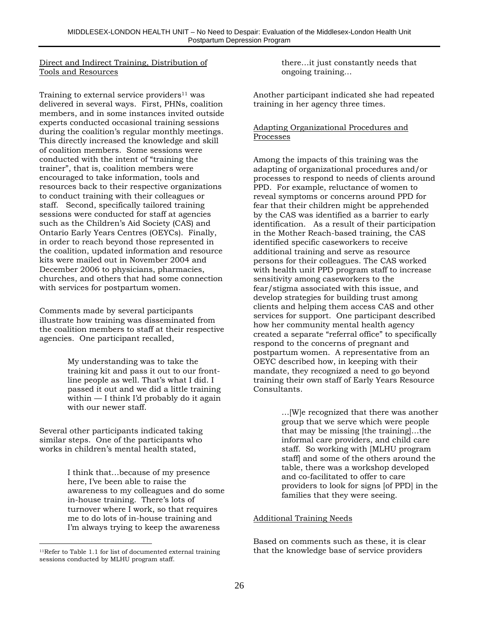#### Direct and Indirect Training, Distribution of Tools and Resources

Training to external service providers $11$  was delivered in several ways. First, PHNs, coalition members, and in some instances invited outside experts conducted occasional training sessions during the coalition's regular monthly meetings. This directly increased the knowledge and skill of coalition members. Some sessions were conducted with the intent of "training the trainer", that is, coalition members were encouraged to take information, tools and resources back to their respective organizations to conduct training with their colleagues or staff. Second, specifically tailored training sessions were conducted for staff at agencies such as the Children's Aid Society (CAS) and Ontario Early Years Centres (OEYCs). Finally, in order to reach beyond those represented in the coalition, updated information and resource kits were mailed out in November 2004 and December 2006 to physicians, pharmacies, churches, and others that had some connection with services for postpartum women.

Comments made by several participants illustrate how training was disseminated from the coalition members to staff at their respective agencies. One participant recalled,

> My understanding was to take the training kit and pass it out to our frontline people as well. That's what I did. I passed it out and we did a little training within — I think I'd probably do it again with our newer staff.

Several other participants indicated taking similar steps. One of the participants who works in children's mental health stated,

> I think that…because of my presence here, I've been able to raise the awareness to my colleagues and do some in-house training. There's lots of turnover where I work, so that requires me to do lots of in-house training and I'm always trying to keep the awareness

 $\overline{a}$ 

there…it just constantly needs that ongoing training…

Another participant indicated she had repeated training in her agency three times.

#### Adapting Organizational Procedures and Processes

Among the impacts of this training was the adapting of organizational procedures and/or processes to respond to needs of clients around PPD. For example, reluctance of women to reveal symptoms or concerns around PPD for fear that their children might be apprehended by the CAS was identified as a barrier to early identification. As a result of their participation in the Mother Reach-based training, the CAS identified specific caseworkers to receive additional training and serve as resource persons for their colleagues. The CAS worked with health unit PPD program staff to increase sensitivity among caseworkers to the fear/stigma associated with this issue, and develop strategies for building trust among clients and helping them access CAS and other services for support. One participant described how her community mental health agency created a separate "referral office" to specifically respond to the concerns of pregnant and postpartum women. A representative from an OEYC described how, in keeping with their mandate, they recognized a need to go beyond training their own staff of Early Years Resource **Consultants** 

> …[W]e recognized that there was another group that we serve which were people that may be missing [the training]…the informal care providers, and child care staff. So working with [MLHU program staff] and some of the others around the table, there was a workshop developed and co-facilitated to offer to care providers to look for signs [of PPD] in the families that they were seeing.

#### Additional Training Needs

Based on comments such as these, it is clear that the knowledge base of service providers

 $11$ Refer to Table 1.1 for list of documented external training sessions conducted by MLHU program staff.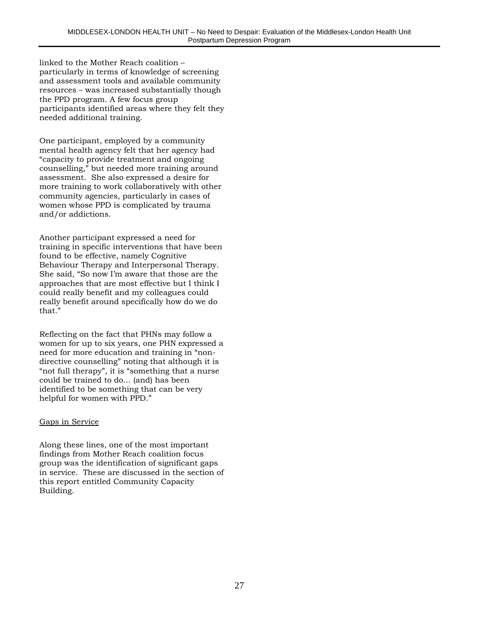linked to the Mother Reach coalition – particularly in terms of knowledge of screening and assessment tools and available community resources – was increased substantially though the PPD program. A few focus group participants identified areas where they felt they needed additional training.

One participant, employed by a community mental health agency felt that her agency had "capacity to provide treatment and ongoing counselling," but needed more training around assessment. She also expressed a desire for more training to work collaboratively with other community agencies, particularly in cases of women whose PPD is complicated by trauma and/or addictions.

Another participant expressed a need for training in specific interventions that have been found to be effective, namely Cognitive Behaviour Therapy and Interpersonal Therapy. She said, "So now I'm aware that those are the approaches that are most effective but I think I could really benefit and my colleagues could really benefit around specifically how do we do that."

Reflecting on the fact that PHNs may follow a women for up to six years, one PHN expressed a need for more education and training in "nondirective counselling" noting that although it is "not full therapy", it is "something that a nurse could be trained to do... (and) has been identified to be something that can be very helpful for women with PPD."

#### Gaps in Service

Along these lines, one of the most important findings from Mother Reach coalition focus group was the identification of significant gaps in service. These are discussed in the section of this report entitled Community Capacity Building.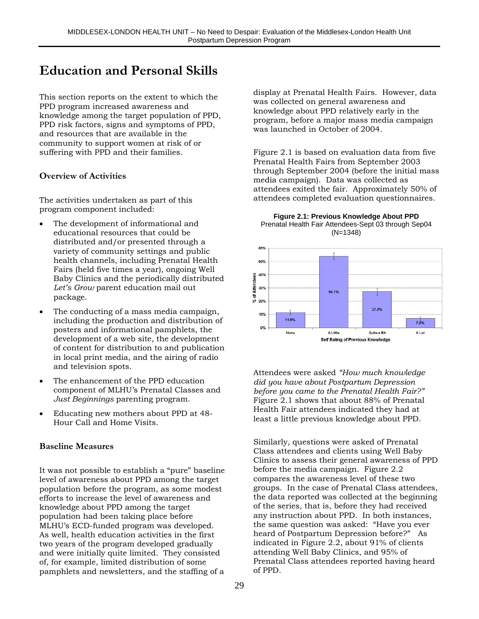## **Education and Personal Skills**

This section reports on the extent to which the PPD program increased awareness and knowledge among the target population of PPD, PPD risk factors, signs and symptoms of PPD, and resources that are available in the community to support women at risk of or suffering with PPD and their families.

#### **Overview of Activities**

The activities undertaken as part of this program component included:

- The development of informational and educational resources that could be distributed and/or presented through a variety of community settings and public health channels, including Prenatal Health Fairs (held five times a year), ongoing Well Baby Clinics and the periodically distributed *Let's Grow* parent education mail out package.
- The conducting of a mass media campaign, including the production and distribution of posters and informational pamphlets, the development of a web site, the development of content for distribution to and publication in local print media, and the airing of radio and television spots.
- The enhancement of the PPD education component of MLHU's Prenatal Classes and *Just Beginnings* parenting program.
- Educating new mothers about PPD at 48- Hour Call and Home Visits.

#### **Baseline Measures**

It was not possible to establish a "pure" baseline level of awareness about PPD among the target population before the program, as some modest efforts to increase the level of awareness and knowledge about PPD among the target population had been taking place before MLHU's ECD-funded program was developed. As well, health education activities in the first two years of the program developed gradually and were initially quite limited. They consisted of, for example, limited distribution of some pamphlets and newsletters, and the staffing of a

display at Prenatal Health Fairs. However, data was collected on general awareness and knowledge about PPD relatively early in the program, before a major mass media campaign was launched in October of 2004.

Figure 2.1 is based on evaluation data from five Prenatal Health Fairs from September 2003 through September 2004 (before the initial mass media campaign). Data was collected as attendees exited the fair. Approximately 50% of attendees completed evaluation questionnaires.

**Figure 2.1: Previous Knowledge About PPD** Prenatal Health Fair Attendees-Sept 03 through Sep04 (N=1348)



Attendees were asked *"How much knowledge did you have about Postpartum Depression before you came to the Prenatal Health Fair?"* Figure 2.1 shows that about 88% of Prenatal Health Fair attendees indicated they had at least a little previous knowledge about PPD.

Similarly, questions were asked of Prenatal Class attendees and clients using Well Baby Clinics to assess their general awareness of PPD before the media campaign. Figure 2.2 compares the awareness level of these two groups. In the case of Prenatal Class attendees, the data reported was collected at the beginning of the series, that is, before they had received any instruction about PPD. In both instances, the same question was asked: "Have you ever heard of Postpartum Depression before?" As indicated in Figure 2.2, about 91% of clients attending Well Baby Clinics, and 95% of Prenatal Class attendees reported having heard of PPD.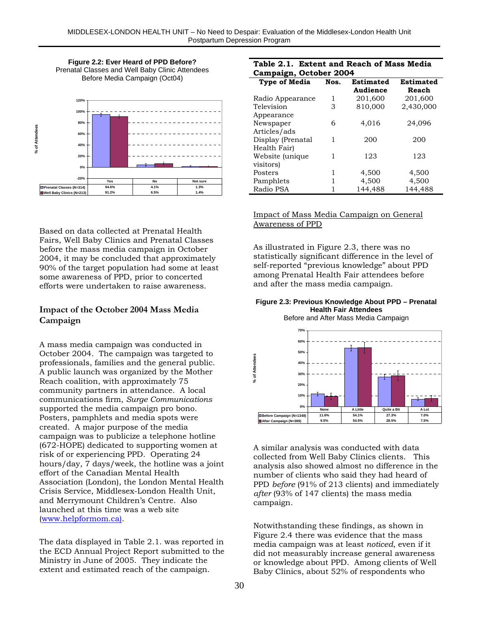**Figure 2.2: Ever Heard of PPD Before?** Prenatal Classes and Well Baby Clinic Attendees Before Media Campaign (Oct04)



Based on data collected at Prenatal Health Fairs, Well Baby Clinics and Prenatal Classes before the mass media campaign in October 2004, it may be concluded that approximately 90% of the target population had some at least some awareness of PPD, prior to concerted efforts were undertaken to raise awareness.

#### **Impact of the October 2004 Mass Media Campaign**

A mass media campaign was conducted in October 2004. The campaign was targeted to professionals, families and the general public. A public launch was organized by the Mother Reach coalition, with approximately 75 community partners in attendance. A local communications firm, *Surge Communications* supported the media campaign pro bono. Posters, pamphlets and media spots were created. A major purpose of the media campaign was to publicize a telephone hotline (672-HOPE) dedicated to supporting women at risk of or experiencing PPD. Operating 24 hours/day, 7 days/week, the hotline was a joint effort of the Canadian Mental Health Association (London), the London Mental Health Crisis Service, Middlesex-London Health Unit, and Merrymount Children's Centre. Also launched at this time was a web site (www.helpformom.ca).

The data displayed in Table 2.1. was reported in the ECD Annual Project Report submitted to the Ministry in June of 2005. They indicate the extent and estimated reach of the campaign.

#### **Table 2.1. Extent and Reach of Mass Media Campaign, October 2004**

| Campaign, October 2007 |      |                       |                    |  |  |
|------------------------|------|-----------------------|--------------------|--|--|
| <b>Type of Media</b>   | Nos. | Estimated<br>Audience | Estimated<br>Reach |  |  |
| Radio Appearance       | 1    | 201,600               | 201,600            |  |  |
| Television             | 3    | 810,000               | 2,430,000          |  |  |
| Appearance             |      |                       |                    |  |  |
| Newspaper              | 6    | 4,016                 | 24,096             |  |  |
| Articles/ads           |      |                       |                    |  |  |
| Display (Prenatal      | 1    | 200                   | 200                |  |  |
| Health Fair)           |      |                       |                    |  |  |
| Website (unique        | 1    | 123                   | 123                |  |  |
| visitors)              |      |                       |                    |  |  |
| Posters                | 1    | 4,500                 | 4,500              |  |  |
| Pamphlets              | 1    | 4,500                 | 4,500              |  |  |
| Radio PSA              | 1    | 144,488               | 144,488            |  |  |

Impact of Mass Media Campaign on General Awareness of PPD

As illustrated in Figure 2.3, there was no statistically significant difference in the level of self-reported "previous knowledge" about PPD among Prenatal Health Fair attendees before and after the mass media campaign.

#### **Figure 2.3: Previous Knowledge About PPD – Prenatal Health Fair Attendees**



A similar analysis was conducted with data collected from Well Baby Clinics clients. This analysis also showed almost no difference in the number of clients who said they had heard of PPD *before* (91% of 213 clients) and immediately *after* (93% of 147 clients) the mass media campaign.

Notwithstanding these findings, as shown in Figure 2.4 there was evidence that the mass media campaign was at least *noticed*, even if it did not measurably increase general awareness or knowledge about PPD. Among clients of Well Baby Clinics, about 52% of respondents who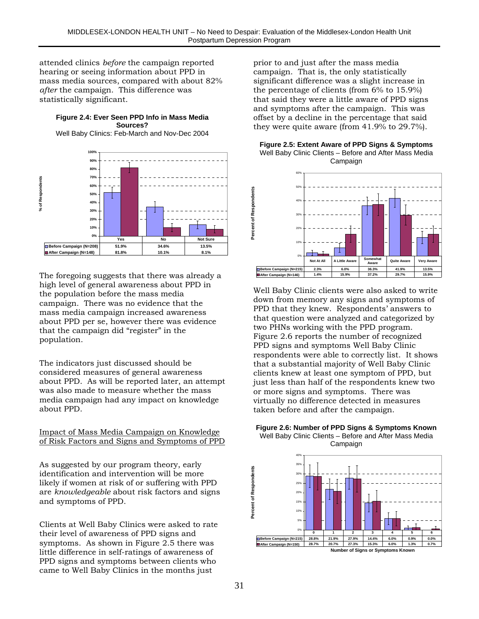attended clinics *before* the campaign reported hearing or seeing information about PPD in mass media sources, compared with about 82% *after* the campaign. This difference was statistically significant.

#### **Figure 2.4: Ever Seen PPD Info in Mass Media Sources?**

Well Baby Clinics: Feb-March and Nov-Dec 2004



The foregoing suggests that there was already a high level of general awareness about PPD in the population before the mass media campaign. There was no evidence that the mass media campaign increased awareness about PPD per se, however there was evidence that the campaign did "register" in the population.

The indicators just discussed should be considered measures of general awareness about PPD. As will be reported later, an attempt was also made to measure whether the mass media campaign had any impact on knowledge about PPD.

#### Impact of Mass Media Campaign on Knowledge of Risk Factors and Signs and Symptoms of PPD

As suggested by our program theory, early identification and intervention will be more likely if women at risk of or suffering with PPD are *knowledgeable* about risk factors and signs and symptoms of PPD.

Clients at Well Baby Clinics were asked to rate their level of awareness of PPD signs and symptoms. As shown in Figure 2.5 there was little difference in self-ratings of awareness of PPD signs and symptoms between clients who came to Well Baby Clinics in the months just

prior to and just after the mass media campaign. That is, the only statistically significant difference was a slight increase in the percentage of clients (from 6% to 15.9%) that said they were a little aware of PPD signs and symptoms after the campaign. This was offset by a decline in the percentage that said they were quite aware (from 41.9% to 29.7%).

**Figure 2.5: Extent Aware of PPD Signs & Symptoms** Well Baby Clinic Clients – Before and After Mass Media Campaign



Well Baby Clinic clients were also asked to write down from memory any signs and symptoms of PPD that they knew. Respondents' answers to that question were analyzed and categorized by two PHNs working with the PPD program. Figure 2.6 reports the number of recognized PPD signs and symptoms Well Baby Clinic respondents were able to correctly list. It shows that a substantial majority of Well Baby Clinic clients knew at least one symptom of PPD, but just less than half of the respondents knew two or more signs and symptoms. There was virtually no difference detected in measures taken before and after the campaign.





**Number of Signs or Symptoms Known**

**Percent of Respondents**

Percent of Respondents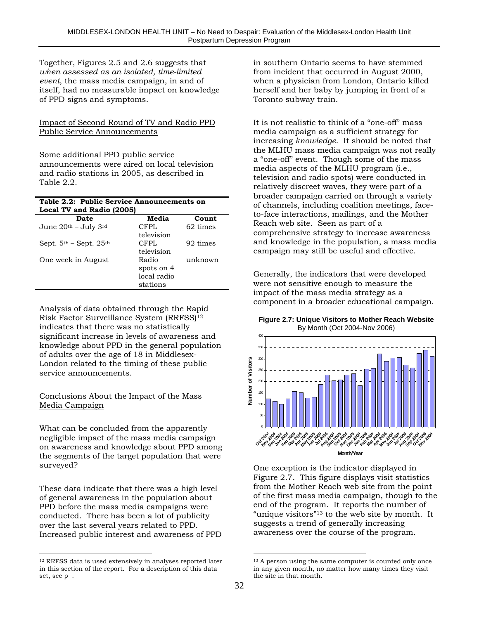Together, Figures 2.5 and 2.6 suggests that *when assessed as an isolated, time-limited event*, the mass media campaign, in and of itself, had no measurable impact on knowledge of PPD signs and symptoms.

#### Impact of Second Round of TV and Radio PPD Public Service Announcements

Some additional PPD public service announcements were aired on local television and radio stations in 2005, as described in Table 2.2.

#### **Table 2.2: Public Service Announcements on Local TV and Radio (2005)**

| Date                       |  | Media            | Count    |  |
|----------------------------|--|------------------|----------|--|
| June 20th - July 3rd       |  | <b>CFPL</b>      | 62 times |  |
|                            |  | television       |          |  |
| Sept. $5th$ – Sept. $25th$ |  | CFPL             | 92 times |  |
|                            |  | television       |          |  |
| One week in August         |  | Radio<br>unknown |          |  |
|                            |  | spots on 4       |          |  |
|                            |  | local radio      |          |  |
|                            |  | stations         |          |  |

Analysis of data obtained through the Rapid Risk Factor Surveillance System (RRFSS)12 indicates that there was no statistically significant increase in levels of awareness and knowledge about PPD in the general population of adults over the age of 18 in Middlesex-London related to the timing of these public service announcements.

#### Conclusions About the Impact of the Mass Media Campaign

What can be concluded from the apparently negligible impact of the mass media campaign on awareness and knowledge about PPD among the segments of the target population that were surveyed?

These data indicate that there was a high level of general awareness in the population about PPD before the mass media campaigns were conducted. There has been a lot of publicity over the last several years related to PPD. Increased public interest and awareness of PPD

 $\overline{a}$ 12 RRFSS data is used extensively in analyses reported later in this section of the report. For a description of this data set, see p .

in southern Ontario seems to have stemmed from incident that occurred in August 2000, when a physician from London, Ontario killed herself and her baby by jumping in front of a Toronto subway train.

It is not realistic to think of a "one-off" mass media campaign as a sufficient strategy for increasing *knowledge*. It should be noted that the MLHU mass media campaign was not really a "one-off" event. Though some of the mass media aspects of the MLHU program (i.e., television and radio spots) were conducted in relatively discreet waves, they were part of a broader campaign carried on through a variety of channels, including coalition meetings, faceto-face interactions, mailings, and the Mother Reach web site. Seen as part of a comprehensive strategy to increase awareness and knowledge in the population, a mass media campaign may still be useful and effective.

Generally, the indicators that were developed were not sensitive enough to measure the impact of the mass media strategy as a component in a broader educational campaign.

**Figure 2.7: Unique Visitors to Mother Reach Website** By Month (Oct 2004-Nov 2006)



One exception is the indicator displayed in Figure 2.7. This figure displays visit statistics from the Mother Reach web site from the point of the first mass media campaign, though to the end of the program. It reports the number of "unique visitors"13 to the web site by month. It suggests a trend of generally increasing awareness over the course of the program.

 $\overline{a}$ <sup>13</sup> A person using the same computer is counted only once in any given month, no matter how many times they visit the site in that month.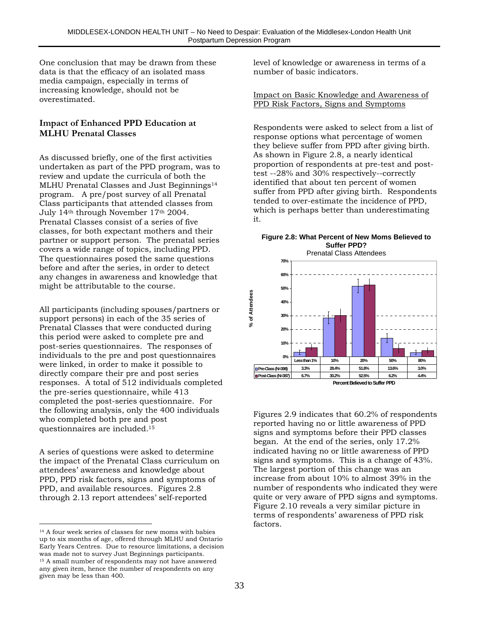One conclusion that may be drawn from these data is that the efficacy of an isolated mass media campaign, especially in terms of increasing knowledge, should not be overestimated.

#### **Impact of Enhanced PPD Education at MLHU Prenatal Classes**

As discussed briefly, one of the first activities undertaken as part of the PPD program, was to review and update the curricula of both the MLHU Prenatal Classes and Just Beginnings<sup>14</sup> program. A pre/post survey of all Prenatal Class participants that attended classes from July 14th through November 17th 2004. Prenatal Classes consist of a series of five classes, for both expectant mothers and their partner or support person. The prenatal series covers a wide range of topics, including PPD. The questionnaires posed the same questions before and after the series, in order to detect any changes in awareness and knowledge that might be attributable to the course.

All participants (including spouses/partners or support persons) in each of the 35 series of Prenatal Classes that were conducted during this period were asked to complete pre and post-series questionnaires. The responses of individuals to the pre and post questionnaires were linked, in order to make it possible to directly compare their pre and post series responses. A total of 512 individuals completed the pre-series questionnaire, while 413 completed the post-series questionnaire. For the following analysis, only the 400 individuals who completed both pre and post questionnaires are included.15

A series of questions were asked to determine the impact of the Prenatal Class curriculum on attendees' awareness and knowledge about PPD, PPD risk factors, signs and symptoms of PPD, and available resources. Figures 2.8 through 2.13 report attendees' self-reported

 $\overline{a}$ 

level of knowledge or awareness in terms of a number of basic indicators.

#### Impact on Basic Knowledge and Awareness of PPD Risk Factors, Signs and Symptoms

Respondents were asked to select from a list of response options what percentage of women they believe suffer from PPD after giving birth. As shown in Figure 2.8, a nearly identical proportion of respondents at pre-test and posttest --28% and 30% respectively--correctly identified that about ten percent of women suffer from PPD after giving birth. Respondents tended to over-estimate the incidence of PPD, which is perhaps better than underestimating it.

#### **Figure 2.8: What Percent of New Moms Believed to Suffer PPD?**



Figures 2.9 indicates that 60.2% of respondents reported having no or little awareness of PPD signs and symptoms before their PPD classes began. At the end of the series, only 17.2% indicated having no or little awareness of PPD signs and symptoms. This is a change of 43%. The largest portion of this change was an increase from about 10% to almost 39% in the number of respondents who indicated they were quite or very aware of PPD signs and symptoms. Figure 2.10 reveals a very similar picture in terms of respondents' awareness of PPD risk factors.

<sup>14</sup> A four week series of classes for new moms with babies up to six months of age, offered through MLHU and Ontario Early Years Centres. Due to resource limitations, a decision was made not to survey Just Beginnings participants. 15 A small number of respondents may not have answered any given item, hence the number of respondents on any given may be less than 400.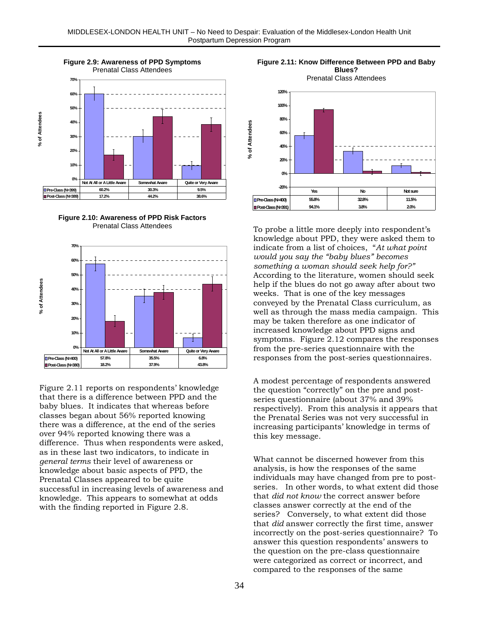

**Figure 2.10: Awareness of PPD Risk Factors** Prenatal Class Attendees



Figure 2.11 reports on respondents' knowledge that there is a difference between PPD and the baby blues. It indicates that whereas before classes began about 56% reported knowing there was a difference, at the end of the series over 94% reported knowing there was a difference. Thus when respondents were asked, as in these last two indicators, to indicate in *general terms* their level of awareness or knowledge about basic aspects of PPD, the Prenatal Classes appeared to be quite successful in increasing levels of awareness and knowledge. This appears to somewhat at odds with the finding reported in Figure 2.8.



To probe a little more deeply into respondent's knowledge about PPD, they were asked them to indicate from a list of choices, "*At what point would you say the "baby blues" becomes something a woman should seek help for?"* According to the literature, women should seek help if the blues do not go away after about two weeks. That is one of the key messages conveyed by the Prenatal Class curriculum, as well as through the mass media campaign. This may be taken therefore as one indicator of increased knowledge about PPD signs and symptoms. Figure 2.12 compares the responses from the pre-series questionnaire with the responses from the post-series questionnaires.

A modest percentage of respondents answered the question "correctly" on the pre and postseries questionnaire (about 37% and 39% respectively). From this analysis it appears that the Prenatal Series was not very successful in increasing participants' knowledge in terms of this key message.

What cannot be discerned however from this analysis, is how the responses of the same individuals may have changed from pre to postseries. In other words, to what extent did those that *did not know* the correct answer before classes answer correctly at the end of the series? Conversely, to what extent did those that *did* answer correctly the first time, answer incorrectly on the post-series questionnaire? To answer this question respondents' answers to the question on the pre-class questionnaire were categorized as correct or incorrect, and compared to the responses of the same

**Figure 2.11: Know Difference Between PPD and Baby Blues?**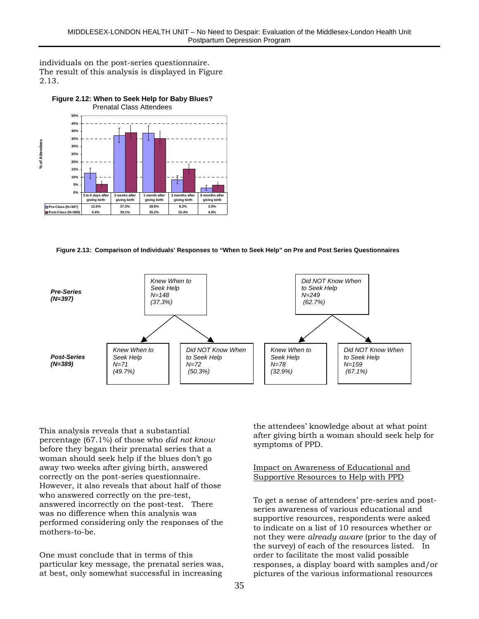individuals on the post-series questionnaire. The result of this analysis is displayed in Figure 2.13.



**Figure 2.12: When to Seek Help for Baby Blues?**

**Figure 2.13: Comparison of Individuals' Responses to "When to Seek Help" on Pre and Post Series Questionnaires**



This analysis reveals that a substantial percentage (67.1%) of those who *did not know* before they began their prenatal series that a woman should seek help if the blues don't go away two weeks after giving birth, answered correctly on the post-series questionnaire. However, it also reveals that about half of those who answered correctly on the pre-test, answered incorrectly on the post-test. There was no difference when this analysis was performed considering only the responses of the mothers-to-be.

One must conclude that in terms of this particular key message, the prenatal series was, at best, only somewhat successful in increasing

the attendees' knowledge about at what point after giving birth a woman should seek help for symptoms of PPD.

Impact on Awareness of Educational and Supportive Resources to Help with PPD

To get a sense of attendees' pre-series and postseries awareness of various educational and supportive resources, respondents were asked to indicate on a list of 10 resources whether or not they were *already aware* (prior to the day of the survey) of each of the resources listed. In order to facilitate the most valid possible responses, a display board with samples and/or pictures of the various informational resources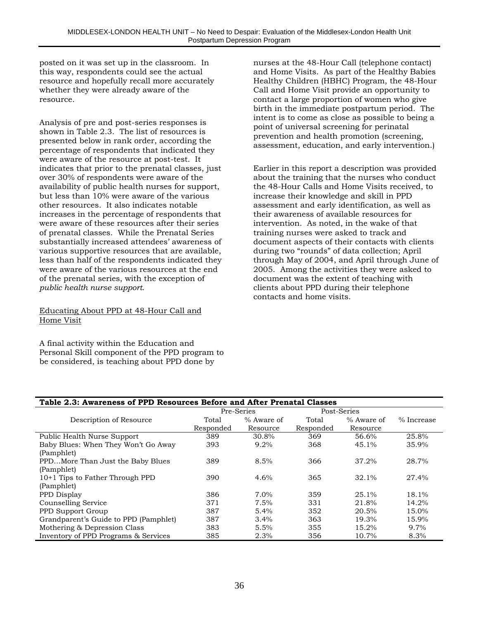posted on it was set up in the classroom. In this way, respondents could see the actual resource and hopefully recall more accurately whether they were already aware of the resource.

Analysis of pre and post-series responses is shown in Table 2.3. The list of resources is presented below in rank order, according the percentage of respondents that indicated they were aware of the resource at post-test. It indicates that prior to the prenatal classes, just over 30% of respondents were aware of the availability of public health nurses for support, but less than 10% were aware of the various other resources. It also indicates notable increases in the percentage of respondents that were aware of these resources after their series of prenatal classes. While the Prenatal Series substantially increased attendees' awareness of various supportive resources that are available, less than half of the respondents indicated they were aware of the various resources at the end of the prenatal series, with the exception of *public health nurse support*.

#### Educating About PPD at 48-Hour Call and Home Visit

A final activity within the Education and Personal Skill component of the PPD program to be considered, is teaching about PPD done by

nurses at the 48-Hour Call (telephone contact) and Home Visits. As part of the Healthy Babies Healthy Children (HBHC) Program, the 48-Hour Call and Home Visit provide an opportunity to contact a large proportion of women who give birth in the immediate postpartum period. The intent is to come as close as possible to being a point of universal screening for perinatal prevention and health promotion (screening, assessment, education, and early intervention.)

Earlier in this report a description was provided about the training that the nurses who conduct the 48-Hour Calls and Home Visits received, to increase their knowledge and skill in PPD assessment and early identification, as well as their awareness of available resources for intervention. As noted, in the wake of that training nurses were asked to track and document aspects of their contacts with clients during two "rounds" of data collection; April through May of 2004, and April through June of 2005. Among the activities they were asked to document was the extent of teaching with clients about PPD during their telephone contacts and home visits.

| Table 2.3: Awareness of PPD Resources Before and After Prenatal Classes |            |            |             |            |            |  |  |
|-------------------------------------------------------------------------|------------|------------|-------------|------------|------------|--|--|
|                                                                         | Pre-Series |            | Post-Series |            |            |  |  |
| Description of Resource                                                 | Total      | % Aware of | Total       | % Aware of | % Increase |  |  |
|                                                                         | Responded  | Resource   | Responded   | Resource   |            |  |  |
| Public Health Nurse Support                                             | 389        | 30.8%      | 369         | 56.6%      | 25.8%      |  |  |
| Baby Blues: When They Won't Go Away                                     | 393        | $9.2\%$    | 368         | 45.1%      | 35.9%      |  |  |
| (Pamphlet)                                                              |            |            |             |            |            |  |  |
| PPDMore Than Just the Baby Blues                                        | 389        | 8.5%       | 366         | 37.2%      | 28.7%      |  |  |
| (Pamphlet)                                                              |            |            |             |            |            |  |  |
| 10+1 Tips to Father Through PPD                                         | 390        | 4.6%       | 365         | 32.1%      | 27.4%      |  |  |
| (Pamphlet)                                                              |            |            |             |            |            |  |  |
| PPD Display                                                             | 386        | $7.0\%$    | 359         | 25.1%      | 18.1%      |  |  |
| Counselling Service                                                     | 371        | 7.5%       | 331         | 21.8%      | 14.2%      |  |  |
| PPD Support Group                                                       | 387        | 5.4%       | 352         | 20.5%      | 15.0%      |  |  |
| Grandparent's Guide to PPD (Pamphlet)                                   | 387        | 3.4%       | 363         | 19.3%      | 15.9%      |  |  |
| Mothering & Depression Class                                            | 383        | 5.5%       | 355         | 15.2%      | 9.7%       |  |  |
| Inventory of PPD Programs & Services                                    | 385        | 2.3%       | 356         | 10.7%      | 8.3%       |  |  |
|                                                                         |            |            |             |            |            |  |  |

#### **Table 2.3: Awareness of PPD Resources Before and After Prenatal Classes**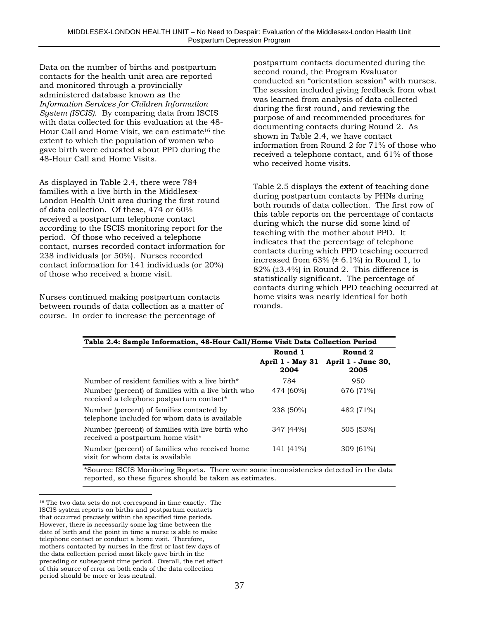Data on the number of births and postpartum contacts for the health unit area are reported and monitored through a provincially administered database known as the *Information Services for Children Information System (ISCIS)*. By comparing data from ISCIS with data collected for this evaluation at the 48- Hour Call and Home Visit, we can estimate<sup>16</sup> the extent to which the population of women who gave birth were educated about PPD during the 48-Hour Call and Home Visits.

As displayed in Table 2.4, there were 784 families with a live birth in the Middlesex-London Health Unit area during the first round of data collection. Of these, 474 or 60% received a postpartum telephone contact according to the ISCIS monitoring report for the period. Of those who received a telephone contact, nurses recorded contact information for 238 individuals (or 50%). Nurses recorded contact information for 141 individuals (or 20%) of those who received a home visit.

Nurses continued making postpartum contacts between rounds of data collection as a matter of course. In order to increase the percentage of

postpartum contacts documented during the second round, the Program Evaluator conducted an "orientation session" with nurses. The session included giving feedback from what was learned from analysis of data collected during the first round, and reviewing the purpose of and recommended procedures for documenting contacts during Round 2. As shown in Table 2.4, we have contact information from Round 2 for 71% of those who received a telephone contact, and 61% of those who received home visits.

Table 2.5 displays the extent of teaching done during postpartum contacts by PHNs during both rounds of data collection. The first row of this table reports on the percentage of contacts during which the nurse did some kind of teaching with the mother about PPD. It indicates that the percentage of telephone contacts during which PPD teaching occurred increased from  $63\%$  ( $\pm$  6.1%) in Round 1, to 82% (±3.4%) in Round 2. This difference is statistically significant. The percentage of contacts during which PPD teaching occurred at home visits was nearly identical for both rounds.

| Table 2.4: Sample Information, 48-Hour Call/Home Visit Data Collection Period                              |                                 |                            |  |  |  |  |
|------------------------------------------------------------------------------------------------------------|---------------------------------|----------------------------|--|--|--|--|
|                                                                                                            | Round 1                         | Round 2                    |  |  |  |  |
|                                                                                                            | <b>April 1 - May 31</b><br>2004 | April 1 - June 30,<br>2005 |  |  |  |  |
| Number of resident families with a live birth*                                                             | 784                             | 950                        |  |  |  |  |
| Number (percent) of families with a live birth who<br>received a telephone postpartum contact <sup>*</sup> | 474 (60%)                       | 676 (71%)                  |  |  |  |  |
| Number (percent) of families contacted by<br>telephone included for whom data is available                 | 238 (50%)                       | 482 (71%)                  |  |  |  |  |
| Number (percent) of families with live birth who<br>received a postpartum home visit <sup>*</sup>          | 347 (44%)                       | 505 (53%)                  |  |  |  |  |
| Number (percent) of families who received home<br>visit for whom data is available                         | 141 (41%)                       | 309 (61%)                  |  |  |  |  |

\*Source: ISCIS Monitoring Reports. There were some inconsistencies detected in the data reported, so these figures should be taken as estimates.

 $\overline{a}$ 

<sup>16</sup> The two data sets do not correspond in time exactly. The ISCIS system reports on births and postpartum contacts that occurred precisely within the specified time periods. However, there is necessarily some lag time between the date of birth and the point in time a nurse is able to make telephone contact or conduct a home visit. Therefore, mothers contacted by nurses in the first or last few days of the data collection period most likely gave birth in the preceding or subsequent time period. Overall, the net effect of this source of error on both ends of the data collection period should be more or less neutral.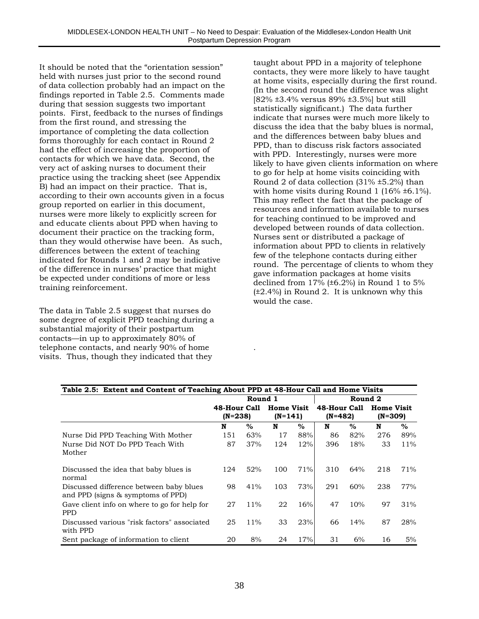It should be noted that the "orientation session" held with nurses just prior to the second round of data collection probably had an impact on the findings reported in Table 2.5. Comments made during that session suggests two important points. First, feedback to the nurses of findings from the first round, and stressing the importance of completing the data collection forms thoroughly for each contact in Round 2 had the effect of increasing the proportion of contacts for which we have data. Second, the very act of asking nurses to document their practice using the tracking sheet (see Appendix B) had an impact on their practice. That is, according to their own accounts given in a focus group reported on earlier in this document, nurses were more likely to explicitly screen for and educate clients about PPD when having to document their practice on the tracking form, than they would otherwise have been. As such, differences between the extent of teaching indicated for Rounds 1 and 2 may be indicative of the difference in nurses' practice that might be expected under conditions of more or less training reinforcement.

The data in Table 2.5 suggest that nurses do some degree of explicit PPD teaching during a substantial majority of their postpartum contacts—in up to approximately 80% of telephone contacts, and nearly 90% of home visits. Thus, though they indicated that they

taught about PPD in a majority of telephone contacts, they were more likely to have taught at home visits, especially during the first round. (In the second round the difference was slight [82% ±3.4% versus 89% ±3.5%] but still statistically significant.) The data further indicate that nurses were much more likely to discuss the idea that the baby blues is normal, and the differences between baby blues and PPD, than to discuss risk factors associated with PPD. Interestingly, nurses were more likely to have given clients information on where to go for help at home visits coinciding with Round 2 of data collection (31% ±5.2%) than with home visits during Round 1 (16%  $\pm$ 6.1%). This may reflect the fact that the package of resources and information available to nurses for teaching continued to be improved and developed between rounds of data collection. Nurses sent or distributed a package of information about PPD to clients in relatively few of the telephone contacts during either round. The percentage of clients to whom they gave information packages at home visits declined from  $17\%$  (±6.2%) in Round 1 to 5% (±2.4%) in Round 2. It is unknown why this would the case.

| Table 2.5: Extent and Content of Teaching About PPD at 48-Hour Call and Home Visits |                                                           |      |     |                         |         |                              |     |        |
|-------------------------------------------------------------------------------------|-----------------------------------------------------------|------|-----|-------------------------|---------|------------------------------|-----|--------|
|                                                                                     | Round 1                                                   |      |     |                         | Round 2 |                              |     |        |
|                                                                                     | <b>Home Visit</b><br>48-Hour Call<br>(N=238)<br>$(N=141)$ |      |     | 48-Hour Call<br>(N=482) |         | <b>Home Visit</b><br>(N=309) |     |        |
|                                                                                     | N                                                         | $\%$ | N   | $\%$                    | N       | $\%$                         | N   | $\%$   |
| Nurse Did PPD Teaching With Mother                                                  | 151                                                       | 63%  | 17  | 88%                     | 86      | 82%                          | 276 | 89%    |
| Nurse Did NOT Do PPD Teach With<br>Mother                                           | 87                                                        | 37%  | 124 | 12%                     | 396     | 18%                          | 33  | $11\%$ |
| Discussed the idea that baby blues is<br>normal                                     | 124                                                       | 52%  | 100 | 71%                     | 310     | 64%                          | 218 | 71%    |
| Discussed difference between baby blues<br>and PPD (signs $&$ symptoms of PPD)      | 98                                                        | 41%  | 103 | 73%                     | 291     | 60%                          | 238 | 77%    |
| Gave client info on where to go for help for<br><b>PPD</b>                          | 27                                                        | 11%  | 22  | 16%                     | 47      | 10%                          | 97  | 31%    |
| Discussed various "risk factors" associated<br>with PPD                             | 25                                                        | 11%  | 33  | 23%                     | 66      | 14%                          | 87  | 28%    |
| Sent package of information to client                                               | 20                                                        | 8%   | 24  | 17%                     | 31      | 6%                           | 16  | 5%     |

.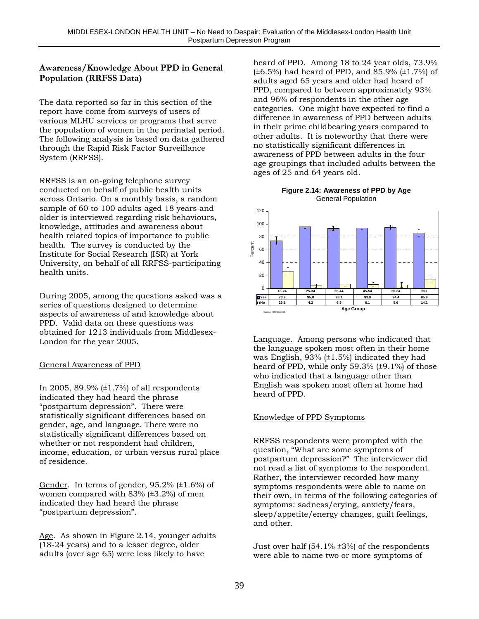#### **Awareness/Knowledge About PPD in General Population (RRFSS Data)**

The data reported so far in this section of the report have come from surveys of users of various MLHU services or programs that serve the population of women in the perinatal period. The following analysis is based on data gathered through the Rapid Risk Factor Surveillance System (RRFSS).

RRFSS is an on-going telephone survey conducted on behalf of public health units across Ontario. On a monthly basis, a random sample of 60 to 100 adults aged 18 years and older is interviewed regarding risk behaviours, knowledge, attitudes and awareness about health related topics of importance to public health. The survey is conducted by the Institute for Social Research (ISR) at York University, on behalf of all RRFSS-participating health units.

During 2005, among the questions asked was a series of questions designed to determine aspects of awareness of and knowledge about PPD. Valid data on these questions was obtained for 1213 individuals from Middlesex-London for the year 2005.

#### General Awareness of PPD

In 2005, 89.9% (±1.7%) of all respondents indicated they had heard the phrase "postpartum depression". There were statistically significant differences based on gender, age, and language. There were no statistically significant differences based on whether or not respondent had children, income, education, or urban versus rural place of residence.

Gender. In terms of gender,  $95.2\%$  ( $\pm 1.6\%$ ) of women compared with 83% (±3.2%) of men indicated they had heard the phrase "postpartum depression".

Age. As shown in Figure 2.14, younger adults (18-24 years) and to a lesser degree, older adults (over age 65) were less likely to have

heard of PPD. Among 18 to 24 year olds, 73.9%  $(\pm 6.5\%)$  had heard of PPD, and 85.9%  $(\pm 1.7\%)$  of adults aged 65 years and older had heard of PPD, compared to between approximately 93% and 96% of respondents in the other age categories. One might have expected to find a difference in awareness of PPD between adults in their prime childbearing years compared to other adults. It is noteworthy that there were no statistically significant differences in awareness of PPD between adults in the four age groupings that included adults between the ages of 25 and 64 years old.

#### **Figure 2.14: Awareness of PPD by Age** General Population



Language. Among persons who indicated that the language spoken most often in their home was English, 93% (±1.5%) indicated they had heard of PPD, while only 59.3% (±9.1%) of those who indicated that a language other than English was spoken most often at home had heard of PPD.

#### Knowledge of PPD Symptoms

RRFSS respondents were prompted with the question, "What are some symptoms of postpartum depression?" The interviewer did not read a list of symptoms to the respondent. Rather, the interviewer recorded how many symptoms respondents were able to name on their own, in terms of the following categories of symptoms: sadness/crying, anxiety/fears, sleep/appetite/energy changes, guilt feelings, and other.

Just over half  $(54.1\% \pm 3\%)$  of the respondents were able to name two or more symptoms of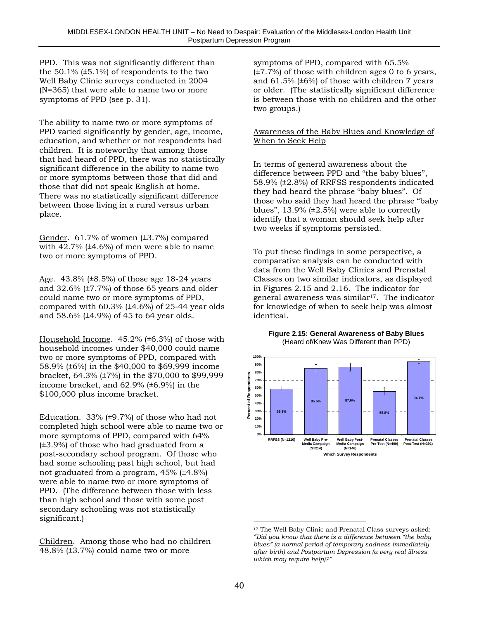PPD. This was not significantly different than the  $50.1\%$  ( $\pm 5.1\%$ ) of respondents to the two Well Baby Clinic surveys conducted in 2004 (N=365) that were able to name two or more symptoms of PPD (see p. 31).

The ability to name two or more symptoms of PPD varied significantly by gender, age, income, education, and whether or not respondents had children. It is noteworthy that among those that had heard of PPD, there was no statistically significant difference in the ability to name two or more symptoms between those that did and those that did not speak English at home. There was no statistically significant difference between those living in a rural versus urban place.

Gender. 61.7% of women (±3.7%) compared with  $42.7\%$  ( $\pm 4.6\%$ ) of men were able to name two or more symptoms of PPD.

Age. 43.8% (±8.5%) of those age 18-24 years and 32.6% (±7.7%) of those 65 years and older could name two or more symptoms of PPD, compared with  $60.3\%$  ( $\pm 4.6\%$ ) of 25-44 year olds and 58.6% (±4.9%) of 45 to 64 year olds.

Household Income. 45.2% (±6.3%) of those with household incomes under \$40,000 could name two or more symptoms of PPD, compared with 58.9% (±6%) in the \$40,000 to \$69,999 income bracket, 64.3% (±7%) in the \$70,000 to \$99,999 income bracket, and 62.9% (±6.9%) in the \$100,000 plus income bracket.

Education. 33% (±9.7%) of those who had not completed high school were able to name two or more symptoms of PPD, compared with 64% (±3.9%) of those who had graduated from a post-secondary school program. Of those who had some schooling past high school, but had not graduated from a program, 45% (±4.8%) were able to name two or more symptoms of PPD. (The difference between those with less than high school and those with some post secondary schooling was not statistically significant.)

Children. Among those who had no children 48.8% (±3.7%) could name two or more

symptoms of PPD, compared with 65.5%  $(\pm 7.7\%)$  of those with children ages 0 to 6 years, and  $61.5\%$  ( $\pm 6\%$ ) of those with children 7 years or older. (The statistically significant difference is between those with no children and the other two groups.)

#### Awareness of the Baby Blues and Knowledge of When to Seek Help

In terms of general awareness about the difference between PPD and "the baby blues", 58.9% (±2.8%) of RRFSS respondents indicated they had heard the phrase "baby blues". Of those who said they had heard the phrase "baby blues",  $13.9\%$  ( $\pm 2.5\%$ ) were able to correctly identify that a woman should seek help after two weeks if symptoms persisted.

To put these findings in some perspective, a comparative analysis can be conducted with data from the Well Baby Clinics and Prenatal Classes on two similar indicators, as displayed in Figures 2.15 and 2.16. The indicator for general awareness was similar<sup>17</sup>. The indicator for knowledge of when to seek help was almost identical.





 $\overline{a}$ <sup>17</sup> The Well Baby Clinic and Prenatal Class surveys asked: *"Did you know that there is a difference between "the baby blues" (a normal period of temporary sadness immediately after birth) and Postpartum Depression (a very real illness which may require help)?"*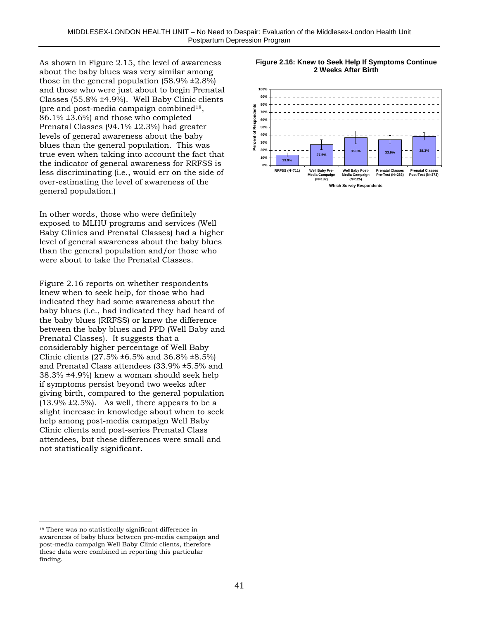As shown in Figure 2.15, the level of awareness about the baby blues was very similar among those in the general population (58.9% ±2.8%) and those who were just about to begin Prenatal Classes (55.8% ±4.9%). Well Baby Clinic clients (pre and post-media campaign combined18, 86.1% ±3.6%) and those who completed Prenatal Classes (94.1% ±2.3%) had greater levels of general awareness about the baby blues than the general population. This was true even when taking into account the fact that the indicator of general awareness for RRFSS is less discriminating (i.e., would err on the side of over-estimating the level of awareness of the general population.)

In other words, those who were definitely exposed to MLHU programs and services (Well Baby Clinics and Prenatal Classes) had a higher level of general awareness about the baby blues than the general population and/or those who were about to take the Prenatal Classes.

Figure 2.16 reports on whether respondents knew when to seek help, for those who had indicated they had some awareness about the baby blues (i.e., had indicated they had heard of the baby blues (RRFSS) or knew the difference between the baby blues and PPD (Well Baby and Prenatal Classes). It suggests that a considerably higher percentage of Well Baby Clinic clients (27.5% ±6.5% and 36.8% ±8.5%) and Prenatal Class attendees (33.9% ±5.5% and 38.3% ±4.9%) knew a woman should seek help if symptoms persist beyond two weeks after giving birth, compared to the general population  $(13.9\% \pm 2.5\%)$ . As well, there appears to be a slight increase in knowledge about when to seek help among post-media campaign Well Baby Clinic clients and post-series Prenatal Class attendees, but these differences were small and not statistically significant.





 $\overline{a}$ 

<sup>&</sup>lt;sup>18</sup> There was no statistically significant difference in awareness of baby blues between pre-media campaign and post-media campaign Well Baby Clinic clients, therefore these data were combined in reporting this particular finding.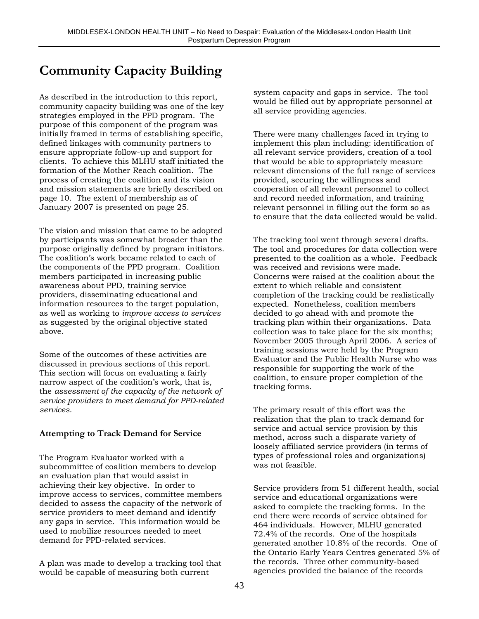## **Community Capacity Building**

As described in the introduction to this report, community capacity building was one of the key strategies employed in the PPD program. The purpose of this component of the program was initially framed in terms of establishing specific, defined linkages with community partners to ensure appropriate follow-up and support for clients. To achieve this MLHU staff initiated the formation of the Mother Reach coalition. The process of creating the coalition and its vision and mission statements are briefly described on page 10. The extent of membership as of January 2007 is presented on page 25.

The vision and mission that came to be adopted by participants was somewhat broader than the purpose originally defined by program initiators. The coalition's work became related to each of the components of the PPD program. Coalition members participated in increasing public awareness about PPD, training service providers, disseminating educational and information resources to the target population, as well as working to *improve access to services* as suggested by the original objective stated above.

Some of the outcomes of these activities are discussed in previous sections of this report. This section will focus on evaluating a fairly narrow aspect of the coalition's work, that is, the *assessment of the capacity of the network of service providers to meet demand for PPD-related services*.

#### **Attempting to Track Demand for Service**

The Program Evaluator worked with a subcommittee of coalition members to develop an evaluation plan that would assist in achieving their key objective. In order to improve access to services, committee members decided to assess the capacity of the network of service providers to meet demand and identify any gaps in service. This information would be used to mobilize resources needed to meet demand for PPD-related services.

A plan was made to develop a tracking tool that would be capable of measuring both current

system capacity and gaps in service. The tool would be filled out by appropriate personnel at all service providing agencies.

There were many challenges faced in trying to implement this plan including: identification of all relevant service providers, creation of a tool that would be able to appropriately measure relevant dimensions of the full range of services provided, securing the willingness and cooperation of all relevant personnel to collect and record needed information, and training relevant personnel in filling out the form so as to ensure that the data collected would be valid.

The tracking tool went through several drafts. The tool and procedures for data collection were presented to the coalition as a whole. Feedback was received and revisions were made. Concerns were raised at the coalition about the extent to which reliable and consistent completion of the tracking could be realistically expected. Nonetheless, coalition members decided to go ahead with and promote the tracking plan within their organizations. Data collection was to take place for the six months; November 2005 through April 2006. A series of training sessions were held by the Program Evaluator and the Public Health Nurse who was responsible for supporting the work of the coalition, to ensure proper completion of the tracking forms.

The primary result of this effort was the realization that the plan to track demand for service and actual service provision by this method, across such a disparate variety of loosely affiliated service providers (in terms of types of professional roles and organizations) was not feasible.

Service providers from 51 different health, social service and educational organizations were asked to complete the tracking forms. In the end there were records of service obtained for 464 individuals. However, MLHU generated 72.4% of the records. One of the hospitals generated another 10.8% of the records. One of the Ontario Early Years Centres generated 5% of the records. Three other community-based agencies provided the balance of the records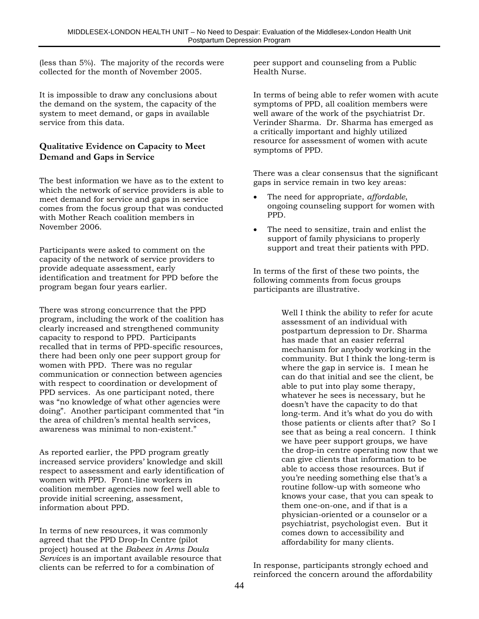(less than 5%). The majority of the records were collected for the month of November 2005.

It is impossible to draw any conclusions about the demand on the system, the capacity of the system to meet demand, or gaps in available service from this data.

#### **Qualitative Evidence on Capacity to Meet Demand and Gaps in Service**

The best information we have as to the extent to which the network of service providers is able to meet demand for service and gaps in service comes from the focus group that was conducted with Mother Reach coalition members in November 2006.

Participants were asked to comment on the capacity of the network of service providers to provide adequate assessment, early identification and treatment for PPD before the program began four years earlier.

There was strong concurrence that the PPD program, including the work of the coalition has clearly increased and strengthened community capacity to respond to PPD. Participants recalled that in terms of PPD-specific resources, there had been only one peer support group for women with PPD. There was no regular communication or connection between agencies with respect to coordination or development of PPD services. As one participant noted, there was "no knowledge of what other agencies were doing". Another participant commented that "in the area of children's mental health services, awareness was minimal to non-existent."

As reported earlier, the PPD program greatly increased service providers' knowledge and skill respect to assessment and early identification of women with PPD. Front-line workers in coalition member agencies now feel well able to provide initial screening, assessment, information about PPD.

In terms of new resources, it was commonly agreed that the PPD Drop-In Centre (pilot project) housed at the *Babeez in Arms Doula Services* is an important available resource that clients can be referred to for a combination of

peer support and counseling from a Public Health Nurse.

In terms of being able to refer women with acute symptoms of PPD, all coalition members were well aware of the work of the psychiatrist Dr. Verinder Sharma. Dr. Sharma has emerged as a critically important and highly utilized resource for assessment of women with acute symptoms of PPD.

There was a clear consensus that the significant gaps in service remain in two key areas:

- The need for appropriate, *affordable*, ongoing counseling support for women with PPD.
- The need to sensitize, train and enlist the support of family physicians to properly support and treat their patients with PPD.

In terms of the first of these two points, the following comments from focus groups participants are illustrative.

> Well I think the ability to refer for acute assessment of an individual with postpartum depression to Dr. Sharma has made that an easier referral mechanism for anybody working in the community. But I think the long-term is where the gap in service is. I mean he can do that initial and see the client, be able to put into play some therapy, whatever he sees is necessary, but he doesn't have the capacity to do that long-term. And it's what do you do with those patients or clients after that? So I see that as being a real concern. I think we have peer support groups, we have the drop-in centre operating now that we can give clients that information to be able to access those resources. But if you're needing something else that's a routine follow-up with someone who knows your case, that you can speak to them one-on-one, and if that is a physician-oriented or a counselor or a psychiatrist, psychologist even. But it comes down to accessibility and affordability for many clients.

In response, participants strongly echoed and reinforced the concern around the affordability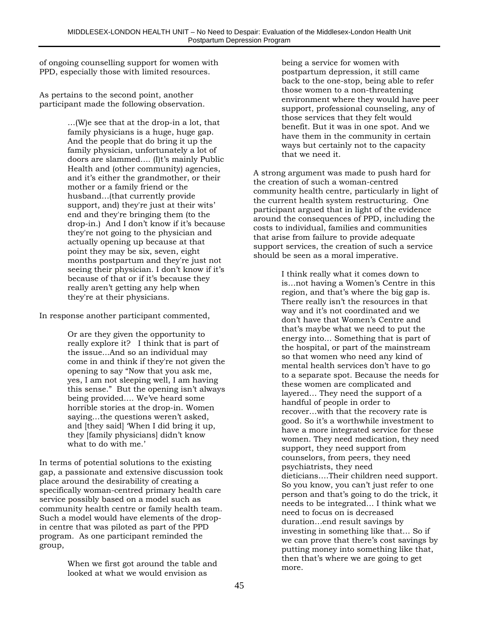of ongoing counselling support for women with PPD, especially those with limited resources.

As pertains to the second point, another participant made the following observation.

> …(W)e see that at the drop-in a lot, that family physicians is a huge, huge gap. And the people that do bring it up the family physician, unfortunately a lot of doors are slammed…. (I)t's mainly Public Health and (other community) agencies, and it's either the grandmother, or their mother or a family friend or the husband…(that currently provide support, and) they're just at their wits' end and they're bringing them (to the drop-in.) And I don't know if it's because they're not going to the physician and actually opening up because at that point they may be six, seven, eight months postpartum and they're just not seeing their physician. I don't know if it's because of that or if it's because they really aren't getting any help when they're at their physicians.

In response another participant commented,

Or are they given the opportunity to really explore it? I think that is part of the issue...And so an individual may come in and think if they're not given the opening to say "Now that you ask me, yes, I am not sleeping well, I am having this sense." But the opening isn't always being provided…. We've heard some horrible stories at the drop-in. Women saying…the questions weren't asked, and [they said] 'When I did bring it up, they [family physicians] didn't know what to do with me.'

In terms of potential solutions to the existing gap, a passionate and extensive discussion took place around the desirability of creating a specifically woman-centred primary health care service possibly based on a model such as community health centre or family health team. Such a model would have elements of the dropin centre that was piloted as part of the PPD program. As one participant reminded the group,

> When we first got around the table and looked at what we would envision as

being a service for women with postpartum depression, it still came back to the one-stop, being able to refer those women to a non-threatening environment where they would have peer support, professional counseling, any of those services that they felt would benefit. But it was in one spot. And we have them in the community in certain ways but certainly not to the capacity that we need it.

A strong argument was made to push hard for the creation of such a woman-centred community health centre, particularly in light of the current health system restructuring. One participant argued that in light of the evidence around the consequences of PPD, including the costs to individual, families and communities that arise from failure to provide adequate support services, the creation of such a service should be seen as a moral imperative.

> I think really what it comes down to is…not having a Women's Centre in this region, and that's where the big gap is. There really isn't the resources in that way and it's not coordinated and we don't have that Women's Centre and that's maybe what we need to put the energy into… Something that is part of the hospital, or part of the mainstream so that women who need any kind of mental health services don't have to go to a separate spot. Because the needs for these women are complicated and layered… They need the support of a handful of people in order to recover…with that the recovery rate is good. So it's a worthwhile investment to have a more integrated service for these women. They need medication, they need support, they need support from counselors, from peers, they need psychiatrists, they need dieticians….Their children need support. So you know, you can't just refer to one person and that's going to do the trick, it needs to be integrated… I think what we need to focus on is decreased duration…end result savings by investing in something like that… So if we can prove that there's cost savings by putting money into something like that, then that's where we are going to get more.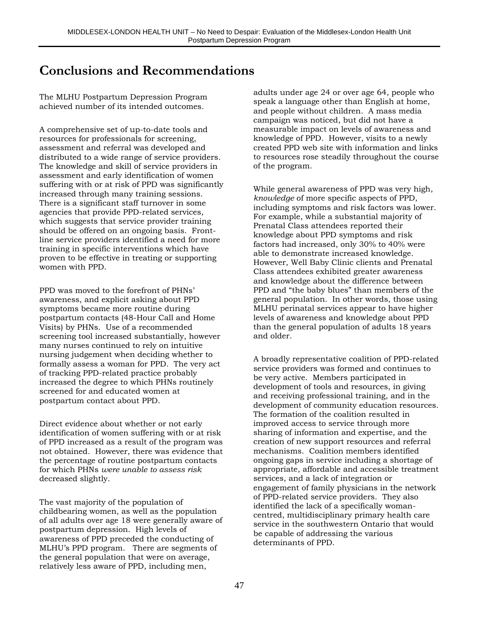## **Conclusions and Recommendations**

The MLHU Postpartum Depression Program achieved number of its intended outcomes.

A comprehensive set of up-to-date tools and resources for professionals for screening, assessment and referral was developed and distributed to a wide range of service providers. The knowledge and skill of service providers in assessment and early identification of women suffering with or at risk of PPD was significantly increased through many training sessions. There is a significant staff turnover in some agencies that provide PPD-related services, which suggests that service provider training should be offered on an ongoing basis. Frontline service providers identified a need for more training in specific interventions which have proven to be effective in treating or supporting women with PPD.

PPD was moved to the forefront of PHNs' awareness, and explicit asking about PPD symptoms became more routine during postpartum contacts (48-Hour Call and Home Visits) by PHNs. Use of a recommended screening tool increased substantially, however many nurses continued to rely on intuitive nursing judgement when deciding whether to formally assess a woman for PPD. The very act of tracking PPD-related practice probably increased the degree to which PHNs routinely screened for and educated women at postpartum contact about PPD.

Direct evidence about whether or not early identification of women suffering with or at risk of PPD increased as a result of the program was not obtained. However, there was evidence that the percentage of routine postpartum contacts for which PHNs *were unable to assess risk* decreased slightly.

The vast majority of the population of childbearing women, as well as the population of all adults over age 18 were generally aware of postpartum depression. High levels of awareness of PPD preceded the conducting of MLHU's PPD program. There are segments of the general population that were on average, relatively less aware of PPD, including men,

adults under age 24 or over age 64, people who speak a language other than English at home, and people without children. A mass media campaign was noticed, but did not have a measurable impact on levels of awareness and knowledge of PPD. However, visits to a newly created PPD web site with information and links to resources rose steadily throughout the course of the program.

While general awareness of PPD was very high, *knowledge* of more specific aspects of PPD, including symptoms and risk factors was lower. For example, while a substantial majority of Prenatal Class attendees reported their knowledge about PPD symptoms and risk factors had increased, only 30% to 40% were able to demonstrate increased knowledge. However, Well Baby Clinic clients and Prenatal Class attendees exhibited greater awareness and knowledge about the difference between PPD and "the baby blues" than members of the general population. In other words, those using MLHU perinatal services appear to have higher levels of awareness and knowledge about PPD than the general population of adults 18 years and older.

A broadly representative coalition of PPD-related service providers was formed and continues to be very active. Members participated in development of tools and resources, in giving and receiving professional training, and in the development of community education resources. The formation of the coalition resulted in improved access to service through more sharing of information and expertise, and the creation of new support resources and referral mechanisms. Coalition members identified ongoing gaps in service including a shortage of appropriate, affordable and accessible treatment services, and a lack of integration or engagement of family physicians in the network of PPD-related service providers. They also identified the lack of a specifically womancentred, multidisciplinary primary health care service in the southwestern Ontario that would be capable of addressing the various determinants of PPD.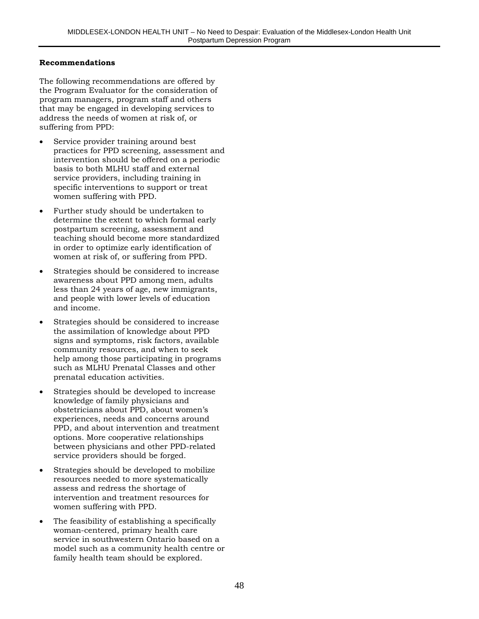#### **Recommendations**

The following recommendations are offered by the Program Evaluator for the consideration of program managers, program staff and others that may be engaged in developing services to address the needs of women at risk of, or suffering from PPD:

- Service provider training around best practices for PPD screening, assessment and intervention should be offered on a periodic basis to both MLHU staff and external service providers, including training in specific interventions to support or treat women suffering with PPD.
- Further study should be undertaken to determine the extent to which formal early postpartum screening, assessment and teaching should become more standardized in order to optimize early identification of women at risk of, or suffering from PPD.
- Strategies should be considered to increase awareness about PPD among men, adults less than 24 years of age, new immigrants, and people with lower levels of education and income.
- Strategies should be considered to increase the assimilation of knowledge about PPD signs and symptoms, risk factors, available community resources, and when to seek help among those participating in programs such as MLHU Prenatal Classes and other prenatal education activities.
- Strategies should be developed to increase knowledge of family physicians and obstetricians about PPD, about women's experiences, needs and concerns around PPD, and about intervention and treatment options. More cooperative relationships between physicians and other PPD-related service providers should be forged.
- Strategies should be developed to mobilize resources needed to more systematically assess and redress the shortage of intervention and treatment resources for women suffering with PPD.
- The feasibility of establishing a specifically woman-centered, primary health care service in southwestern Ontario based on a model such as a community health centre or family health team should be explored.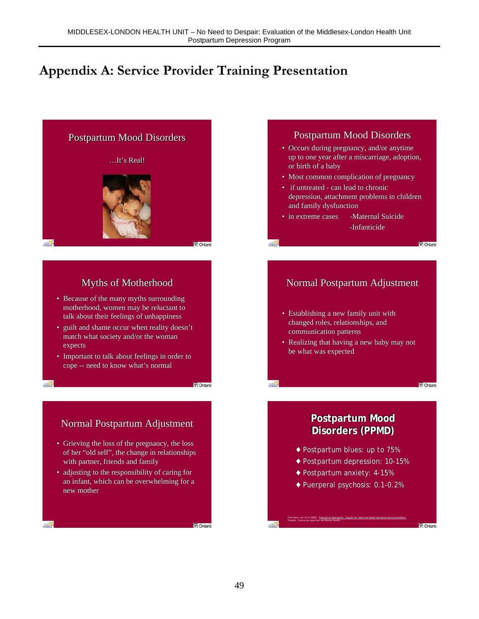## **Appendix A: Service Provider Training Presentation**

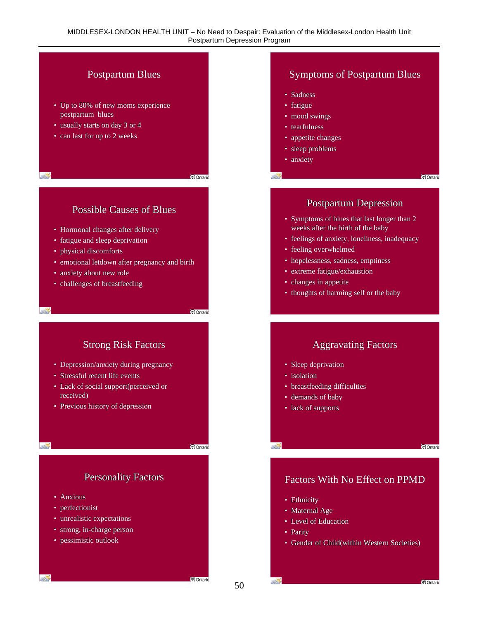#### Postpartum Blues Symptoms of Postpartum Blues • Sadness • Up to 80% of new moms experience • fatigue postpartum blues • mood swings<br>• tearfulness • usually starts on day 3 or 4 • tearfulness • can last for up to 2 weeks • appetite changes • appetite changes • sleep problems • sleep problems<br>• anxiety<br>Possible Causes of Blues Postpar • anxiety  $\mathbb{R}^n$ V Ontario • Bossible Causes of Blues<br>• Hormonal changes after delivery<br>• fatigue and sleep deprivation<br>• physical discomforts<br>• eeling of anxiety, loneliness, inaded<br>• feeling overwhelmed<br>• anxiety about new role<br>• anxiety about new • Symptoms of blues that last longer than 2<br>weeks after the birth of the baby<br>• feelings of anxiety, loneliness, inadequacy weeks after the birth of the baby • Hormonal changes after delivery • feelings of anxiety, loneliness, inadequacy • fatigue and sleep deprivation<br>• physical discomforts • feeling overwhelmed • physical discomforts France with the same of the same of the same of the same of the sextence of the sextence of the sextence of the sextence of the sextence of thoughts of harming self or the beam of thoughts of harming self or the beam of th • hopelessness, sadness, emptiness • emotional letdown after pregnancy and birth • emotional letdown after pregnancy and birth • extreme fatigue/exhaustion • anxiety about new role • changes in appetite • challenges of breastfeeding • thoughts of harming self or the baby

- Sleep deprivation
- isolation
- breastfeeding difficulties
- demands of baby
- lack of supports

**M** Ontario

## Factors With No Effect on PPMD

• Ethnicity

**SOLU** 

 $-2$ 

- Maternal Age
- Level of Education
- Parity •
- Gender of Child(within Western Societies) Gender of Child(within Western

- Depression/anxiety during pregnancy
- Stressful recent life events
- Lack of social support(perceived or received) • Strong Risk Factors<br>• Depression/anxiety during pregnancy<br>• Stressful recent life events<br>• Lack of social support(perceived or<br>• received)<br>• demands of baby<br>• demands of baby
- Previous history of depression

S.

 $-2$ 

**Personality Factors** 

- Anxious
- perfectionist
- unrealistic expectations
- strong, in-charge person
- pessimistic outlook

**M** Ontari

**V** Ontario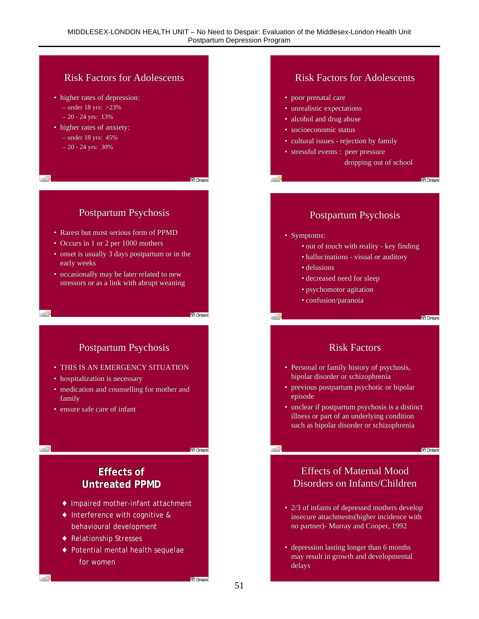

◆ Potential mental health sequelae for women

3953

**V** Ontario

may result in growth and developmental may result in growth and developmentaldelays

delays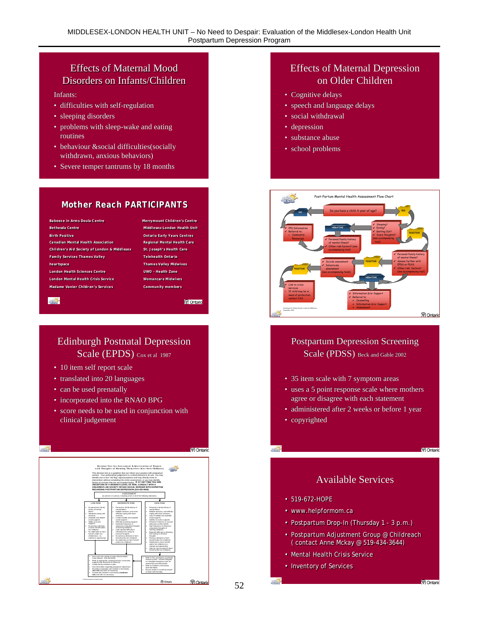## Effects of Maternal Mood Effects of Maternal Mood Disorders on Infants/Children Disorders on Infants/Children

Infants:

- difficulties with self-regulation
- sleeping disorders
- difficulties with self-regulation<br>• sleeping disorders<br>• problems with sleep-wake and eating routines routines
- behaviour &social difficulties(socially withdrawn, anxious behaviors)
- Severe temper tantrums by 18 months Severe temper tantrums by 18 months

#### **Mother Reach PARTICIPANTS Mother Reach PARTICIPANTS**

**Babeeze in Arms Doula Centre Merrymount Children's Centre Babeeze in Arms Doula C entre Merrymount Children's Centre Bethesda Centre Middlesex-London Health Unit Bethesda Centre Middlesex-London Health Unit Birth Positive Ontario Early Y ears Centres Birth Positive Ontario Early Years Centres Children's Aid Society of London & Middlesex St. Joseph's Health Care Children's Aid Society of London & Middlesex St. Joseph's Health Care Family Services Thames Valley Telehealth Ontario Family Services Thames Valley Telehealth Ontario heartspace Thames Valley Midwives heartspace Thames Valley Midwives London Health Sciences Centre UWO - H ealth Zone London Health Sciences Centre UWO - Health Zone London Mental Health Crisis Service Womancare Midwives London Mental Health Crisis Service Womancare Midwives Madame Vanier Children 's Services Community members Madame Vanier Children's Services Community members Canadian Mental Health Association** 

 $-2$ 

**Regional Mental Health Care** 

**V** Ontario

# Edinburgh Postnatal Depression Scale (EPDS) Cox et al 1987 Figure 1 and Scale (EPDS) Cox et al. 1987<br>
• 10 item self report scale<br>
• translated into 20 languages<br>
• can be used prenatally<br>
• incorporated into the RNAO BPG<br>
• score needs to be used in conjunction with<br>
• cinical j

- 10 item self report scale 10 item self report scale
- translated into 20 languages<br>• can be used prenatally
- can be used prenatally
- incorporated into the RNAO BPG
- score needs to be used in conjunction with clinical judgement



## Effects of Maternal Depression on Older Children

- Cognitive delays Cognitive delays
- speech and language delays<br>• social withdrawal<br>• depression
- social withdrawal
- depression
- substance abuse substance abuse
- school problems school problems



# Scale (PDSS) Beck and Gable 2002

- 35 item scale with 7 symptom areas
- uses a 5 point response scale where mothers agree or disagree with each statement agree or disagree with each statement
- administered after 2 weeks or before 1 year 1 year
- copyrighted

 $-2$ 

32

V Ontario

### Available Services

- 519-672-HOPE 519-672-HOPE
- www.helpformom.ca www.helpformom.ca
- Postpartum Drop-In (Thursday 1 3 p.m.) Postpartum Drop-In (Thursday 1 3 p.m.)
- Postpartum Adjustment Group @ Childreach Postpartum Adjustment Group @ Childreach ( contact Anne Mckay @ 519-434-3644) ( contact Anne Mckay @ 519-434-3644)
- Mental Health Crisis Service Mental Health Crisis Service
- Inventory of Services Inventory of Services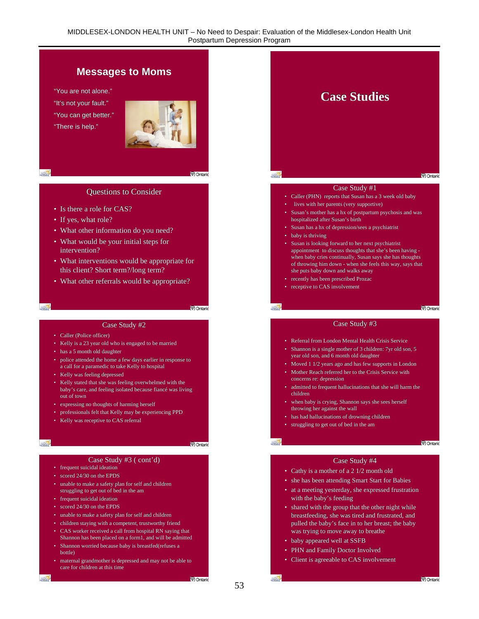## **Messages to Moms**

"You are not alone." "It's not your fault." "You can get better." "There is help."



 $\mathcal{L}$ 

#### **Questions to Consider**

- Is there a role for CAS? Is there a role for CAS?
- If yes, what role?
- If yes, what role?<br>• What other information do you need?
- What would be your initial steps for intervention? intervention?
- What interventions would be appropriate for this client? Short term?/long term? this client? Short term?/long term?
- What other referrals would be appropriate?

#### $\mathbb{R}$

**V** Ontario

- Caller (Police officer) Caller (Police officer)
- Kelly is a 23 year old who is engaged to be married
- has a 5 month old daughter
- has a 5 month old daughter<br>• police attended the home a few days earlier in response to a call for a paramedic to take Kelly to hospital a call for a paramedic to take Kelly to hospital
- Kelly was feeling depressed Kelly was feeling depressed
- Kelly stated that she was feeling overwhelmed with the Kelly stated that she was feeling overwhelmed with the baby's care, and feeling isolated because fiance was living out of town
- out of town<br>• expressing no thoughts of harming herself
- professionals felt that Kelly may be experiencing PPD<br>• Kelly was receptive to CAS referral
- Kelly was receptive to CAS referral

#### $-2$

- frequent suicidal ideation
- scored 24/30 on the EPDS scored 24/30 on the EPDS
- unable to make a safety plan for self and children<br>
 frequent suicidal ideation<br>
 scored 24/30 on the EPDS struggling to get out of bed in the am
- frequent suicidal ideation
- scored 24/30 on the EPDS
- unable to make a safety plan for self and children • unable to make a safety plan for self and children<br>• children staying with a competent, trustworthy friend
- 
- CAS worker received a call from hospital RN saying that CAS worker received a call from hospital RN saying that<br>Shannon has been placed on a form1, and will be admitted
- Shannon worried because baby is breastfed(refuses a bottle) bottle)
- maternal grandmother is depressed and may not be able to care for children at this time care for this time



- Caller (PHN) reports that Susan has a 3 week old baby
- lives with her parents (very supportive)
- Susan's mother has a hx of postpartum psychosis and was hospitalized after Susan's birth • lives with her parents (very supportive)<br>• Susan's mother has a hx of postpartum psychosis and was<br>hospitalized after Susan's birth
- Susan has a hx of depression/sees a psychiatrist Susan has a hx of depression/sees a psychiatrist
- baby is thriving
- Unestions to Consider<br>
 Is there a role for CAS?<br>
 If yes, what role?<br>
 What other information do you need?<br>
 What other information do you need?<br>
 What would be your initial steps for<br>
 What intervention?<br>
 Wha • Susan is looking forward to her next psychiatrist • Susan is looking forward to her next psychiatrist<br>appointment to discuss thoughts that she's been having when baby cries continually, Susan says she has thoughts<br>of throwing him down - when she feels this way, says that<br>she puts baby down and walks away of throwing him down - when she feels this way, says that she puts baby down and walks away
	- recently has been prescribed Prozac recently has been prescribed Prozac
	- receptive to CAS involvement • receptive to CAS involvement<br>
	• receptive to CAS involvement<br>
	• receptive to CAS involvement<br>
	• Case Study #2

#### **V** Ontario

#### Case Study #3

- Referral from London Mental Health Crisis Service Referral from London Mental Health Crisis
- Shannon is a single mother of 3 children: 7yr old son, 5 year old son, and 6 month old daughter year old son, and 6 month old daughter
- 
- Moved 1 1/2 years ago and has few supports in London<br>• Mother Reach referred her to the Crisis Service with<br>concerns re: depression • Mother Reach referred her to the Crisis Service with concerns re: depression
- admitted to frequent hallucinations that she will harm the children children
- when baby is crying, Shannon says she sees herself when baby is crying, Shannon says she sees herselfthrowing her against the wall
- has had hallucinations of drowning children has had hallucinations of drowning children
- struggling to get out of bed in the am to get out of bed in the expectation of the context of bed in the Case Study #3 ( cont'd) Case Study  $\overline{C}$

V Ontario

#### Case Study #4

- Cathy is a mother of a 2 1/2 month old
- she has been attending Smart Start for Babies
- at a meeting yesterday, she expressed frustration with the baby's feeding with the baby's feeding
- shared with the group that the other night while shared with the group that the other night while breastfeeding, she was tired and frustrated, and pulled the baby's face in to her breast; the baby was trying to move away to breathe breastfeeding, she was tired and frustrated, and<br>pulled the baby's face in to her breast; the baby<br>was trying to move away to breathe<br>• baby appeared well at SSFB
- baby appeared well at SSFB
- PHN and Family Doctor Involved
- Client is agreeable to CAS involvement

53

 $-22$ 

**V** Ontario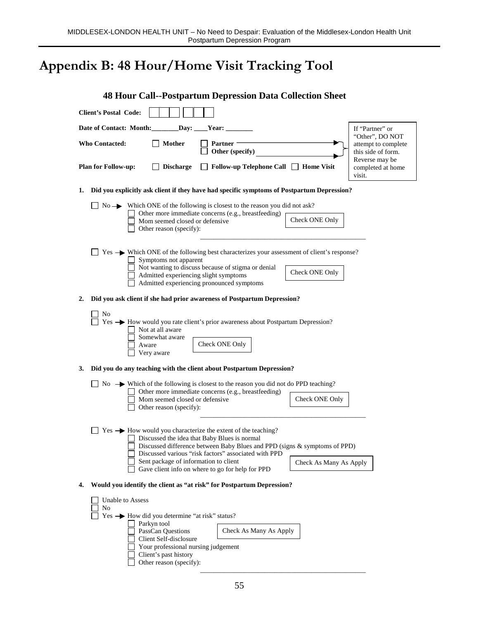# **Appendix B: 48 Hour/Home Visit Tracking Tool**

|    | <b>48 Hour Call--Postpartum Depression Data Collection Sheet</b>                                                                                                                                                                                                                                                                                                                       |                                                             |
|----|----------------------------------------------------------------------------------------------------------------------------------------------------------------------------------------------------------------------------------------------------------------------------------------------------------------------------------------------------------------------------------------|-------------------------------------------------------------|
|    | <b>Client's Postal Code:</b>                                                                                                                                                                                                                                                                                                                                                           |                                                             |
|    | Date of Contact: Month:<br>$\lbrack$ Day: $\lbrack$<br><b>Year:</b>                                                                                                                                                                                                                                                                                                                    | If "Partner" or<br>"Other", DO NOT                          |
|    | <b>Mother</b><br><b>Who Contacted:</b><br>Partner<br>Other (specify)                                                                                                                                                                                                                                                                                                                   | attempt to complete<br>this side of form.<br>Reverse may be |
|    | <b>Plan for Follow-up:</b><br><b>Discharge</b><br>Follow-up Telephone Call □ Home Visit                                                                                                                                                                                                                                                                                                | completed at home<br>visit.                                 |
| 1. | Did you explicitly ask client if they have had specific symptoms of Postpartum Depression?                                                                                                                                                                                                                                                                                             |                                                             |
|    | $\Box$ No $\rightarrow$ Which ONE of the following is closest to the reason you did not ask?                                                                                                                                                                                                                                                                                           |                                                             |
|    | Other more immediate concerns (e.g., breastfeeding)<br>Check ONE Only<br>Mom seemed closed or defensive<br>Other reason (specify):                                                                                                                                                                                                                                                     |                                                             |
|    | Yes — Which ONE of the following best characterizes your assessment of client's response?                                                                                                                                                                                                                                                                                              |                                                             |
|    | Symptoms not apparent<br>□ Not wanting to discuss because of stigma or denial<br>Check ONE Only<br>Admitted experiencing slight symptoms                                                                                                                                                                                                                                               |                                                             |
|    | Admitted experiencing pronounced symptoms                                                                                                                                                                                                                                                                                                                                              |                                                             |
| 2. | Did you ask client if she had prior awareness of Postpartum Depression?                                                                                                                                                                                                                                                                                                                |                                                             |
|    | No<br>Yes $\rightarrow$ How would you rate client's prior awareness about Postpartum Depression?<br>Not at all aware<br>Somewhat aware<br>Check ONE Only<br>Aware<br>Very aware                                                                                                                                                                                                        |                                                             |
| 3. | Did you do any teaching with the client about Postpartum Depression?                                                                                                                                                                                                                                                                                                                   |                                                             |
|    | $\Box$ No $\rightarrow$ Which of the following is closest to the reason you did not do PPD teaching?<br>Other more immediate concerns (e.g., breastfeeding)<br>Check ONE Only<br>Mom seemed closed or defensive<br>Other reason (specify):                                                                                                                                             |                                                             |
|    | $Yes \rightarrow How$ would you characterize the extent of the teaching?<br>□ Discussed the idea that Baby Blues is normal<br>Discussed difference between Baby Blues and PPD (signs & symptoms of PPD)<br>Discussed various "risk factors" associated with PPD<br>Sent package of information to client<br>Check As Many As Apply<br>Gave client info on where to go for help for PPD |                                                             |
| 4. | Would you identify the client as "at risk" for Postpartum Depression?                                                                                                                                                                                                                                                                                                                  |                                                             |
|    | <b>Unable to Assess</b><br>No<br>$Yes \rightarrow How did you determine "at risk" status?$<br>Parkyn tool<br>Check As Many As Apply<br>PassCan Questions<br>Client Self-disclosure<br>Your professional nursing judgement<br>Client's past history<br>Other reason (specify):                                                                                                          |                                                             |